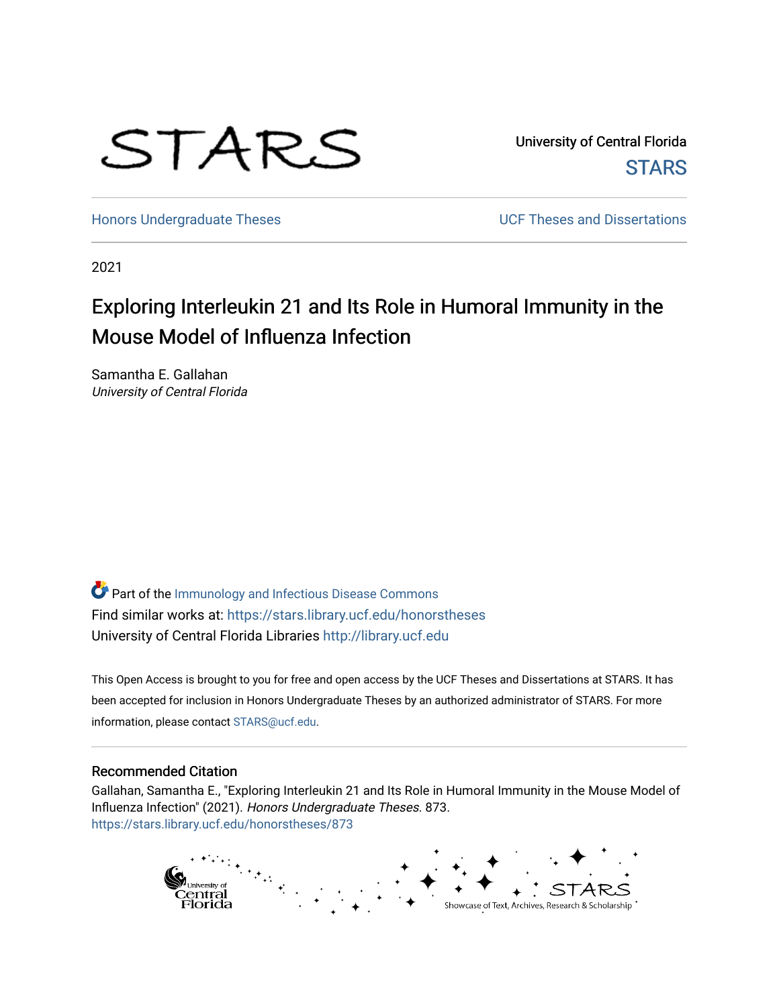

University of Central Florida **STARS** 

[Honors Undergraduate Theses](https://stars.library.ucf.edu/honorstheses) **Exercise 2018** UCF Theses and Dissertations

2021

# Exploring Interleukin 21 and Its Role in Humoral Immunity in the Mouse Model of Influenza Infection

Samantha E. Gallahan University of Central Florida

Part of the [Immunology and Infectious Disease Commons](http://network.bepress.com/hgg/discipline/33?utm_source=stars.library.ucf.edu%2Fhonorstheses%2F873&utm_medium=PDF&utm_campaign=PDFCoverPages)  Find similar works at: <https://stars.library.ucf.edu/honorstheses> University of Central Florida Libraries [http://library.ucf.edu](http://library.ucf.edu/) 

This Open Access is brought to you for free and open access by the UCF Theses and Dissertations at STARS. It has been accepted for inclusion in Honors Undergraduate Theses by an authorized administrator of STARS. For more information, please contact [STARS@ucf.edu.](mailto:STARS@ucf.edu)

### Recommended Citation

Gallahan, Samantha E., "Exploring Interleukin 21 and Its Role in Humoral Immunity in the Mouse Model of Influenza Infection" (2021). Honors Undergraduate Theses. 873. [https://stars.library.ucf.edu/honorstheses/873](https://stars.library.ucf.edu/honorstheses/873?utm_source=stars.library.ucf.edu%2Fhonorstheses%2F873&utm_medium=PDF&utm_campaign=PDFCoverPages) 

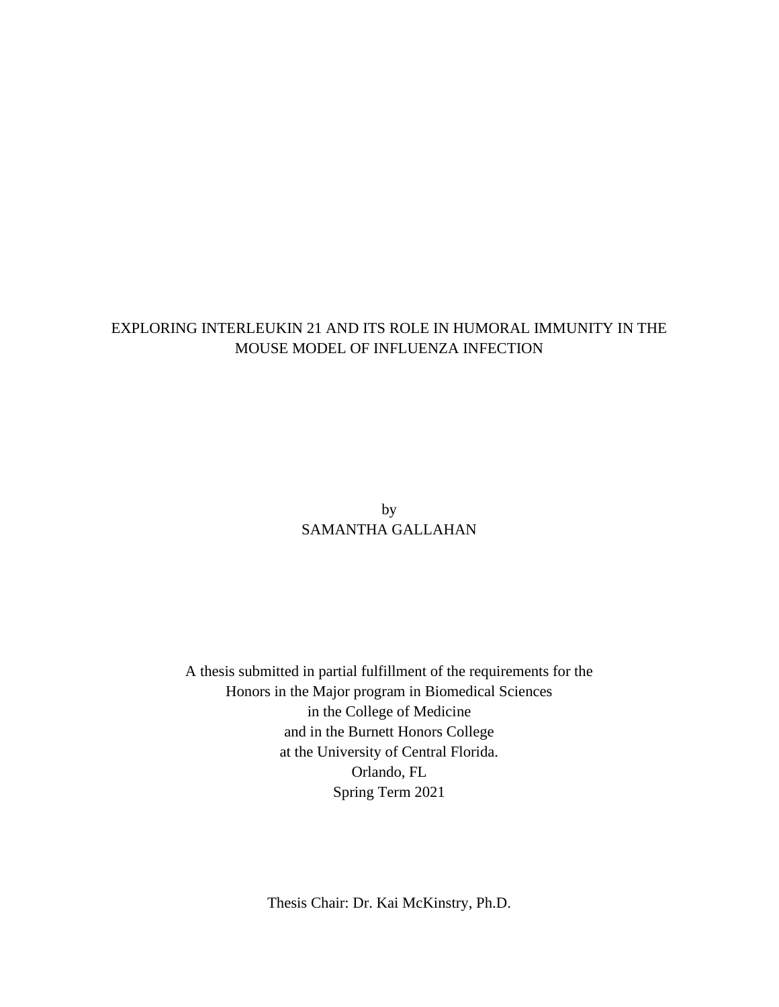### EXPLORING INTERLEUKIN 21 AND ITS ROLE IN HUMORAL IMMUNITY IN THE MOUSE MODEL OF INFLUENZA INFECTION

by SAMANTHA GALLAHAN

A thesis submitted in partial fulfillment of the requirements for the Honors in the Major program in Biomedical Sciences in the College of Medicine and in the Burnett Honors College at the University of Central Florida. Orlando, FL Spring Term 2021

Thesis Chair: Dr. Kai McKinstry, Ph.D.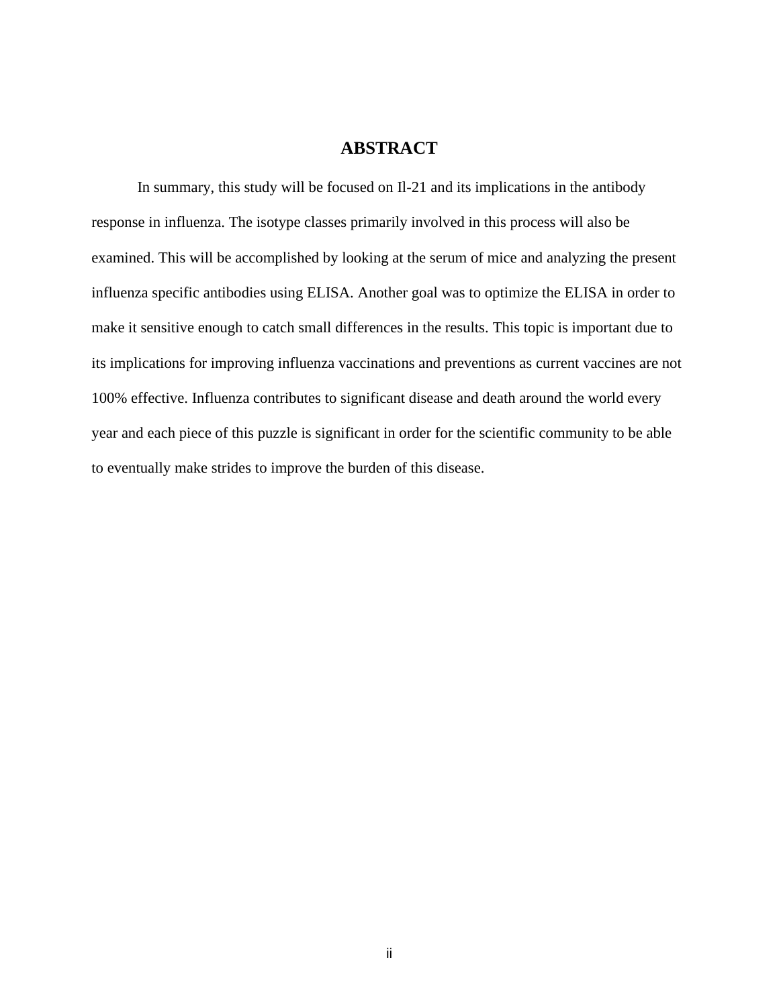### **ABSTRACT**

In summary, this study will be focused on Il-21 and its implications in the antibody response in influenza. The isotype classes primarily involved in this process will also be examined. This will be accomplished by looking at the serum of mice and analyzing the present influenza specific antibodies using ELISA. Another goal was to optimize the ELISA in order to make it sensitive enough to catch small differences in the results. This topic is important due to its implications for improving influenza vaccinations and preventions as current vaccines are not 100% effective. Influenza contributes to significant disease and death around the world every year and each piece of this puzzle is significant in order for the scientific community to be able to eventually make strides to improve the burden of this disease.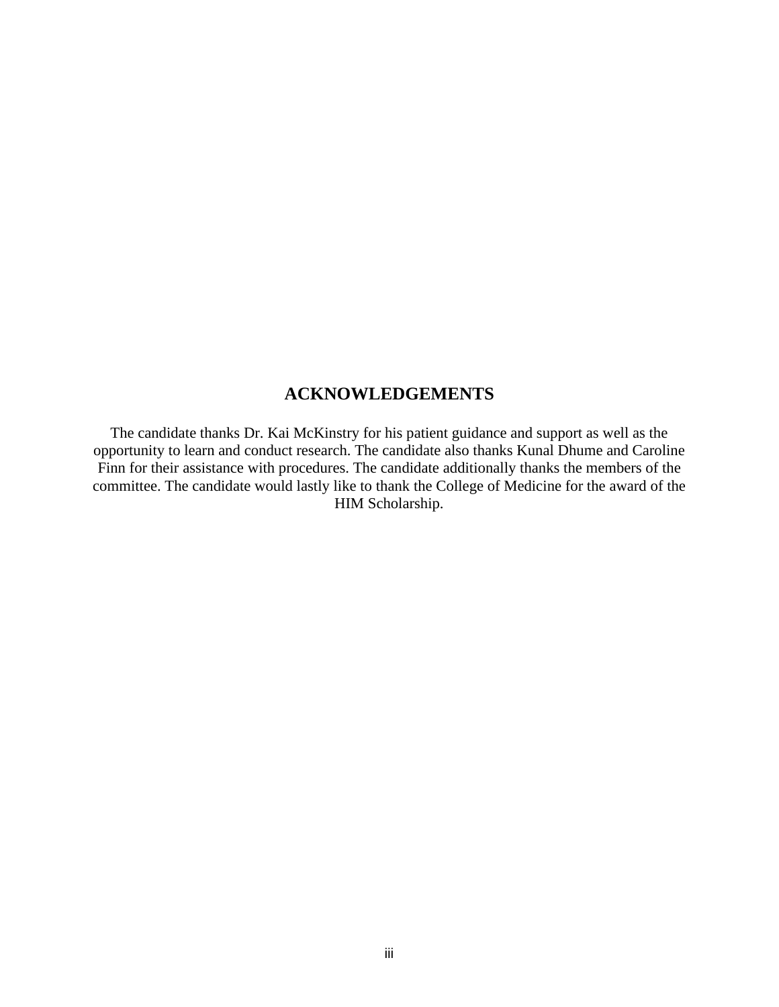## **ACKNOWLEDGEMENTS**

The candidate thanks Dr. Kai McKinstry for his patient guidance and support as well as the opportunity to learn and conduct research. The candidate also thanks Kunal Dhume and Caroline Finn for their assistance with procedures. The candidate additionally thanks the members of the committee. The candidate would lastly like to thank the College of Medicine for the award of the HIM Scholarship.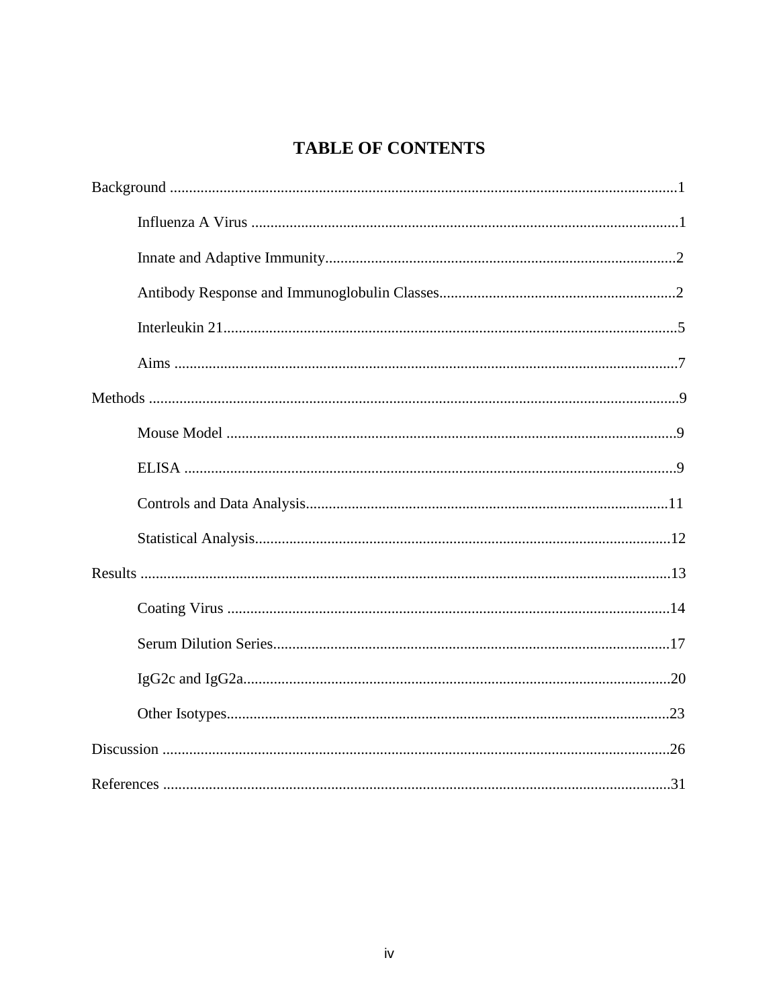# **TABLE OF CONTENTS**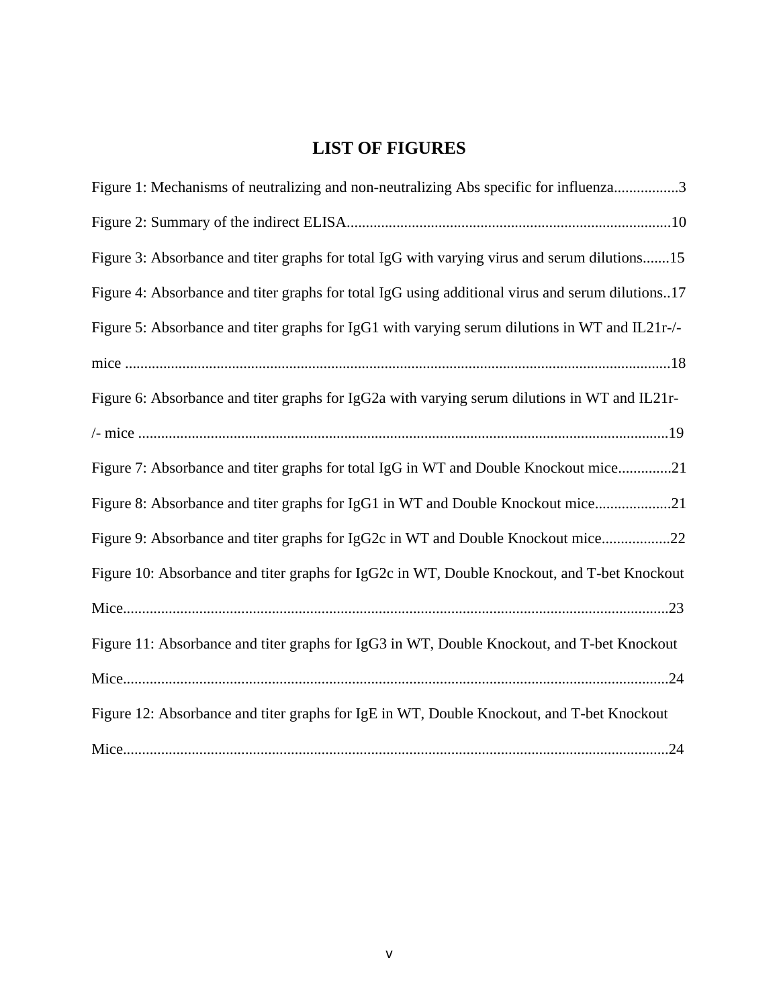# **LIST OF FIGURES**

| Figure 1: Mechanisms of neutralizing and non-neutralizing Abs specific for influenza3            |
|--------------------------------------------------------------------------------------------------|
|                                                                                                  |
| Figure 3: Absorbance and titer graphs for total IgG with varying virus and serum dilutions15     |
| Figure 4: Absorbance and titer graphs for total IgG using additional virus and serum dilutions17 |
| Figure 5: Absorbance and titer graphs for IgG1 with varying serum dilutions in WT and IL21r-/-   |
|                                                                                                  |
| Figure 6: Absorbance and titer graphs for IgG2a with varying serum dilutions in WT and IL21r-    |
|                                                                                                  |
| Figure 7: Absorbance and titer graphs for total IgG in WT and Double Knockout mice21             |
| Figure 8: Absorbance and titer graphs for IgG1 in WT and Double Knockout mice21                  |
| Figure 9: Absorbance and titer graphs for IgG2c in WT and Double Knockout mice22                 |
| Figure 10: Absorbance and titer graphs for IgG2c in WT, Double Knockout, and T-bet Knockout      |
|                                                                                                  |
| Figure 11: Absorbance and titer graphs for IgG3 in WT, Double Knockout, and T-bet Knockout       |
|                                                                                                  |
| Figure 12: Absorbance and titer graphs for IgE in WT, Double Knockout, and T-bet Knockout        |
|                                                                                                  |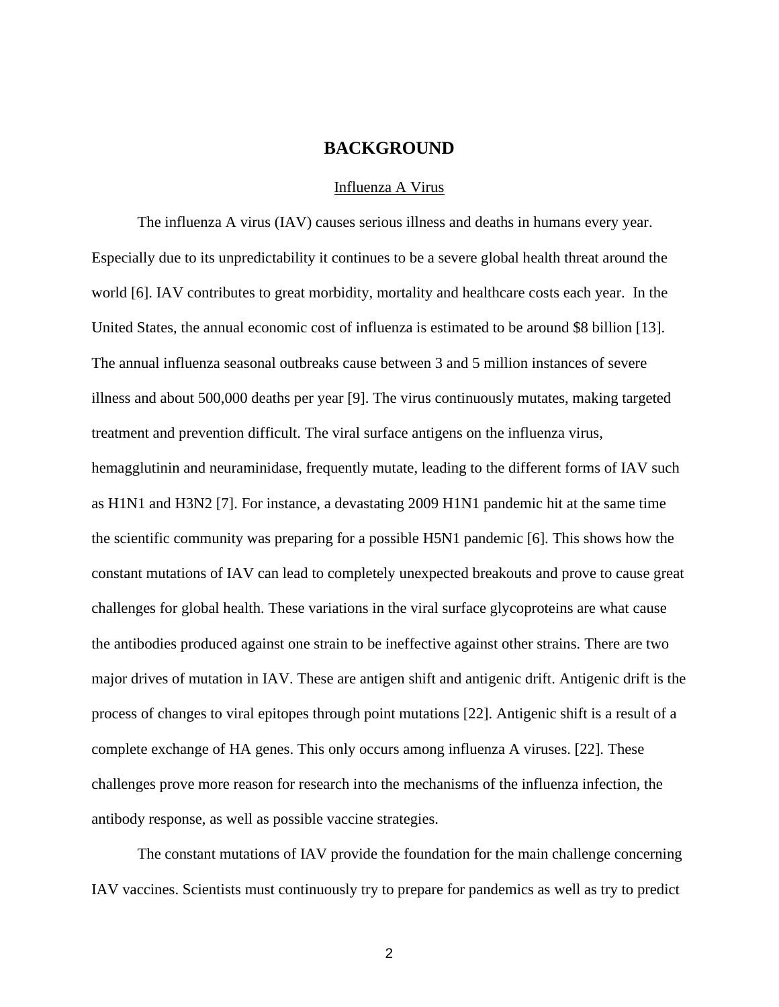### **BACKGROUND**

#### Influenza A Virus

The influenza A virus (IAV) causes serious illness and deaths in humans every year. Especially due to its unpredictability it continues to be a severe global health threat around the world [6]. IAV contributes to great morbidity, mortality and healthcare costs each year. In the United States, the annual economic cost of influenza is estimated to be around \$8 billion [13]. The annual influenza seasonal outbreaks cause between 3 and 5 million instances of severe illness and about 500,000 deaths per year [9]. The virus continuously mutates, making targeted treatment and prevention difficult. The viral surface antigens on the influenza virus, hemagglutinin and neuraminidase, frequently mutate, leading to the different forms of IAV such as H1N1 and H3N2 [7]. For instance, a devastating 2009 H1N1 pandemic hit at the same time the scientific community was preparing for a possible H5N1 pandemic [6]. This shows how the constant mutations of IAV can lead to completely unexpected breakouts and prove to cause great challenges for global health. These variations in the viral surface glycoproteins are what cause the antibodies produced against one strain to be ineffective against other strains. There are two major drives of mutation in IAV. These are antigen shift and antigenic drift. Antigenic drift is the process of changes to viral epitopes through point mutations [22]. Antigenic shift is a result of a complete exchange of HA genes. This only occurs among influenza A viruses. [22]. These challenges prove more reason for research into the mechanisms of the influenza infection, the antibody response, as well as possible vaccine strategies.

The constant mutations of IAV provide the foundation for the main challenge concerning IAV vaccines. Scientists must continuously try to prepare for pandemics as well as try to predict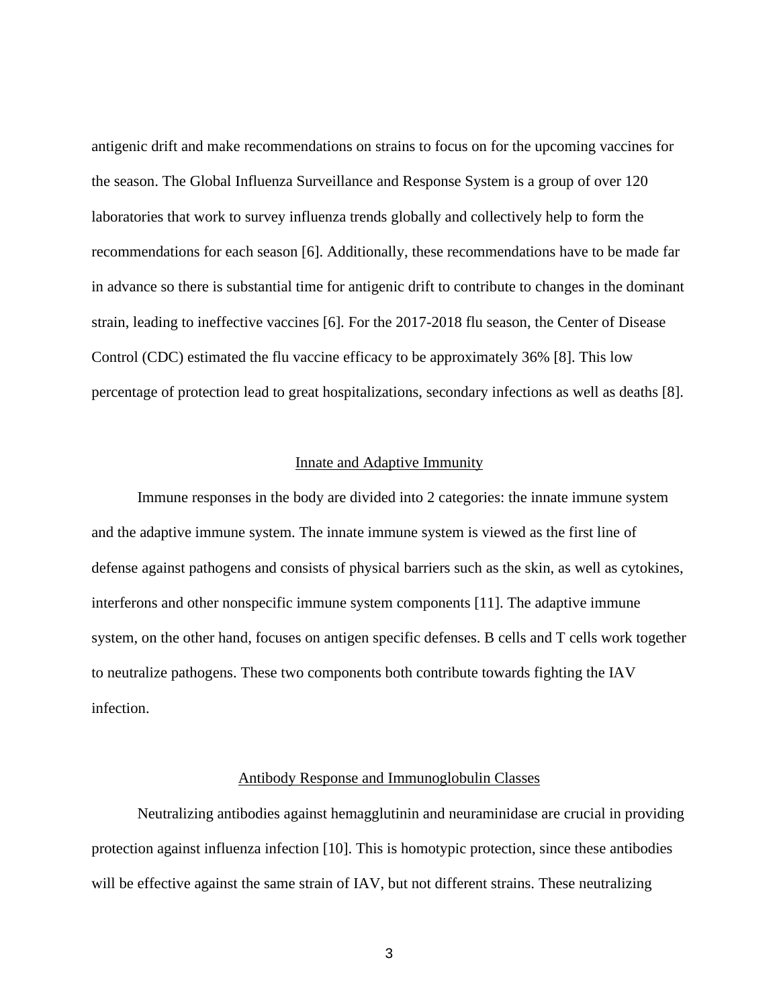antigenic drift and make recommendations on strains to focus on for the upcoming vaccines for the season. The Global Influenza Surveillance and Response System is a group of over 120 laboratories that work to survey influenza trends globally and collectively help to form the recommendations for each season [6]. Additionally, these recommendations have to be made far in advance so there is substantial time for antigenic drift to contribute to changes in the dominant strain, leading to ineffective vaccines [6]. For the 2017-2018 flu season, the Center of Disease Control (CDC) estimated the flu vaccine efficacy to be approximately 36% [8]. This low percentage of protection lead to great hospitalizations, secondary infections as well as deaths [8].

#### Innate and Adaptive Immunity

Immune responses in the body are divided into 2 categories: the innate immune system and the adaptive immune system. The innate immune system is viewed as the first line of defense against pathogens and consists of physical barriers such as the skin, as well as cytokines, interferons and other nonspecific immune system components [11]. The adaptive immune system, on the other hand, focuses on antigen specific defenses. B cells and T cells work together to neutralize pathogens. These two components both contribute towards fighting the IAV infection.

#### Antibody Response and Immunoglobulin Classes

Neutralizing antibodies against hemagglutinin and neuraminidase are crucial in providing protection against influenza infection [10]. This is homotypic protection, since these antibodies will be effective against the same strain of IAV, but not different strains. These neutralizing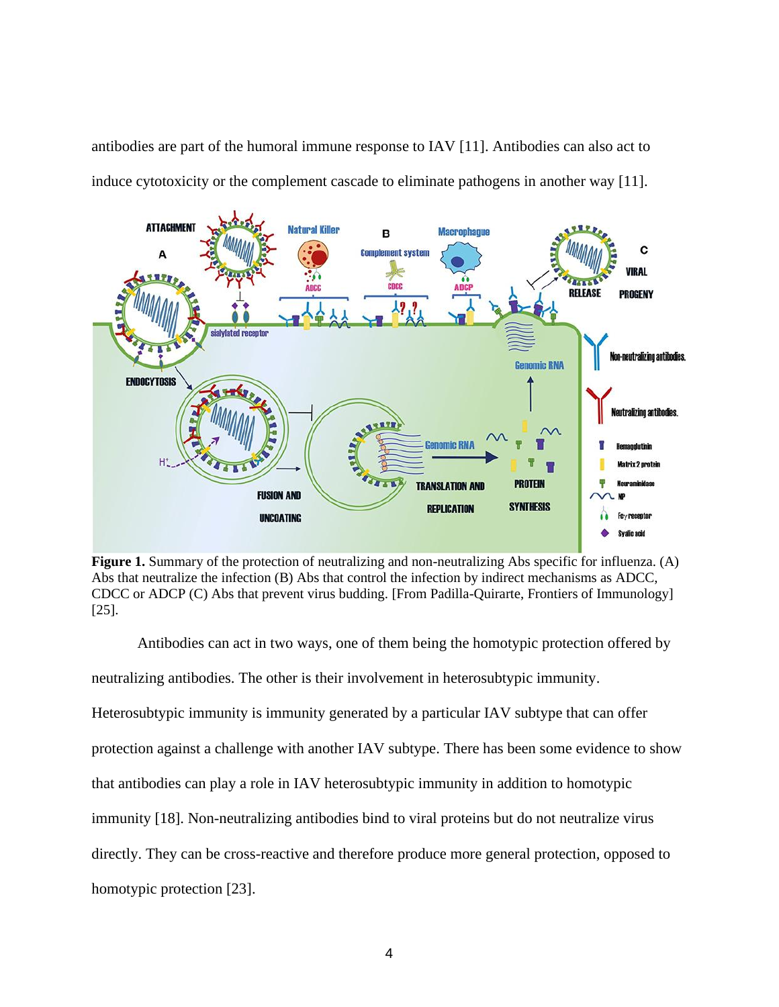antibodies are part of the humoral immune response to IAV [11]. Antibodies can also act to induce cytotoxicity or the complement cascade to eliminate pathogens in another way [11].



**Figure 1.** Summary of the protection of neutralizing and non-neutralizing Abs specific for influenza. (A) Abs that neutralize the infection (B) Abs that control the infection by indirect mechanisms as ADCC, CDCC or ADCP (C) Abs that prevent virus budding. [From Padilla-Quirarte, Frontiers of Immunology] [25].

Antibodies can act in two ways, one of them being the homotypic protection offered by neutralizing antibodies. The other is their involvement in heterosubtypic immunity. Heterosubtypic immunity is immunity generated by a particular IAV subtype that can offer protection against a challenge with another IAV subtype. There has been some evidence to show that antibodies can play a role in IAV heterosubtypic immunity in addition to homotypic immunity [18]. Non-neutralizing antibodies bind to viral proteins but do not neutralize virus directly. They can be cross-reactive and therefore produce more general protection, opposed to homotypic protection [23].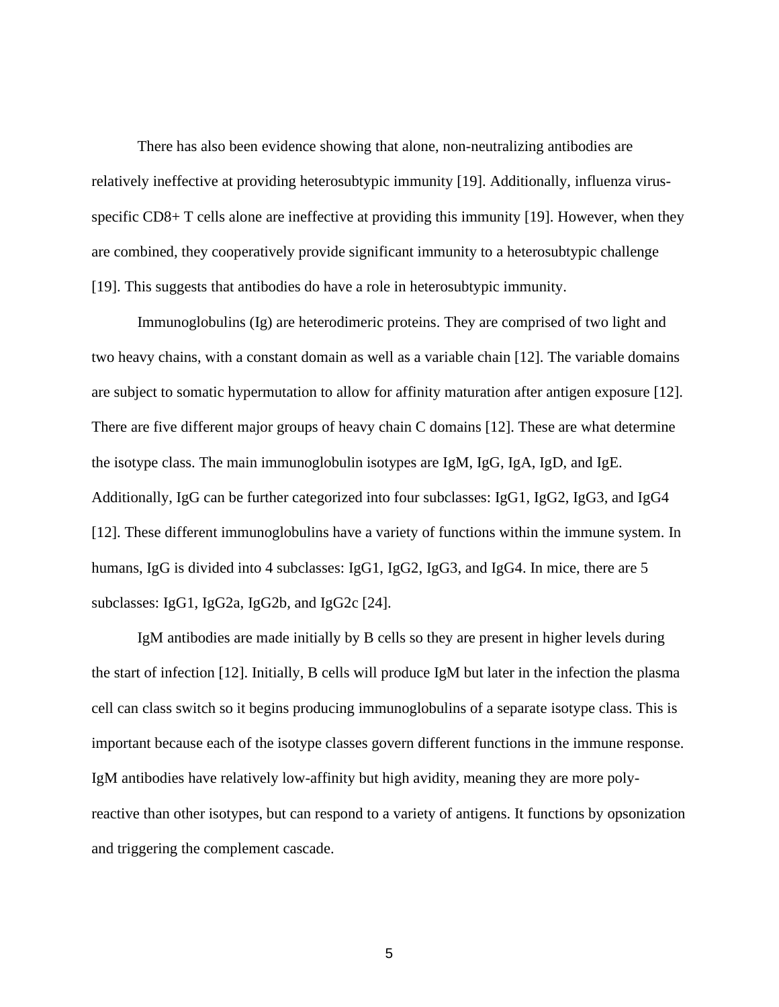There has also been evidence showing that alone, non-neutralizing antibodies are relatively ineffective at providing heterosubtypic immunity [19]. Additionally, influenza virusspecific CD8+ T cells alone are ineffective at providing this immunity [19]. However, when they are combined, they cooperatively provide significant immunity to a heterosubtypic challenge [19]. This suggests that antibodies do have a role in heterosubtypic immunity.

Immunoglobulins (Ig) are heterodimeric proteins. They are comprised of two light and two heavy chains, with a constant domain as well as a variable chain [12]. The variable domains are subject to somatic hypermutation to allow for affinity maturation after antigen exposure [12]. There are five different major groups of heavy chain C domains [12]. These are what determine the isotype class. The main immunoglobulin isotypes are IgM, IgG, IgA, IgD, and IgE. Additionally, IgG can be further categorized into four subclasses: IgG1, IgG2, IgG3, and IgG4 [12]. These different immunoglobulins have a variety of functions within the immune system. In humans, IgG is divided into 4 subclasses: IgG1, IgG2, IgG3, and IgG4. In mice, there are 5 subclasses: IgG1, IgG2a, IgG2b, and IgG2c [24].

IgM antibodies are made initially by B cells so they are present in higher levels during the start of infection [12]. Initially, B cells will produce IgM but later in the infection the plasma cell can class switch so it begins producing immunoglobulins of a separate isotype class. This is important because each of the isotype classes govern different functions in the immune response. IgM antibodies have relatively low-affinity but high avidity, meaning they are more polyreactive than other isotypes, but can respond to a variety of antigens. It functions by opsonization and triggering the complement cascade.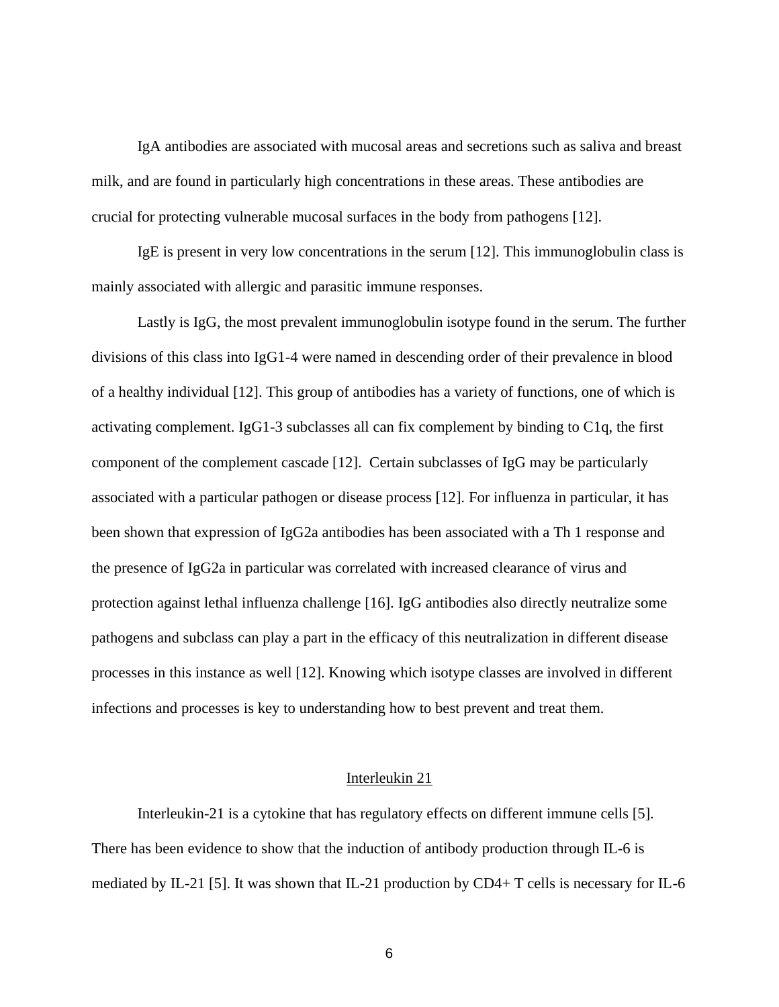IgA antibodies are associated with mucosal areas and secretions such as saliva and breast milk, and are found in particularly high concentrations in these areas. These antibodies are crucial for protecting vulnerable mucosal surfaces in the body from pathogens [12].

IgE is present in very low concentrations in the serum [12]. This immunoglobulin class is mainly associated with allergic and parasitic immune responses.

Lastly is IgG, the most prevalent immunoglobulin isotype found in the serum. The further divisions of this class into IgG1-4 were named in descending order of their prevalence in blood of a healthy individual [12]. This group of antibodies has a variety of functions, one of which is activating complement. IgG1-3 subclasses all can fix complement by binding to C1q, the first component of the complement cascade [12]. Certain subclasses of IgG may be particularly associated with a particular pathogen or disease process [12]. For influenza in particular, it has been shown that expression of IgG2a antibodies has been associated with a Th 1 response and the presence of IgG2a in particular was correlated with increased clearance of virus and protection against lethal influenza challenge [16]. IgG antibodies also directly neutralize some pathogens and subclass can play a part in the efficacy of this neutralization in different disease processes in this instance as well [12]. Knowing which isotype classes are involved in different infections and processes is key to understanding how to best prevent and treat them.

#### Interleukin 21

Interleukin-21 is a cytokine that has regulatory effects on different immune cells [5]. There has been evidence to show that the induction of antibody production through IL-6 is mediated by IL-21 [5]. It was shown that IL-21 production by CD4+ T cells is necessary for IL-6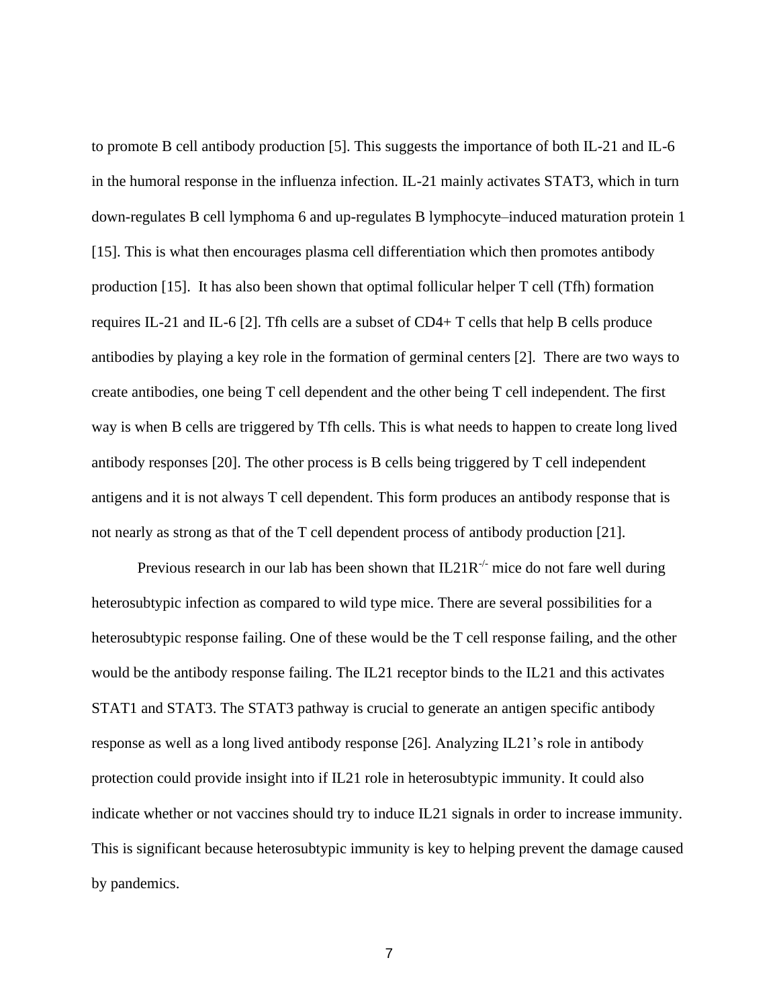to promote B cell antibody production [5]. This suggests the importance of both IL-21 and IL-6 in the humoral response in the influenza infection. IL-21 mainly activates STAT3, which in turn down-regulates B cell lymphoma 6 and up-regulates B lymphocyte–induced maturation protein 1 [15]. This is what then encourages plasma cell differentiation which then promotes antibody production [15]. It has also been shown that optimal follicular helper T cell (Tfh) formation requires IL-21 and IL-6 [2]. The cells are a subset of  $CD4+T$  cells that help B cells produce antibodies by playing a key role in the formation of germinal centers [2]. There are two ways to create antibodies, one being T cell dependent and the other being T cell independent. The first way is when B cells are triggered by Tfh cells. This is what needs to happen to create long lived antibody responses [20]. The other process is B cells being triggered by T cell independent antigens and it is not always T cell dependent. This form produces an antibody response that is not nearly as strong as that of the T cell dependent process of antibody production [21].

Previous research in our lab has been shown that  $IL2IR^{-1}$  mice do not fare well during heterosubtypic infection as compared to wild type mice. There are several possibilities for a heterosubtypic response failing. One of these would be the T cell response failing, and the other would be the antibody response failing. The IL21 receptor binds to the IL21 and this activates STAT1 and STAT3. The STAT3 pathway is crucial to generate an antigen specific antibody response as well as a long lived antibody response [26]. Analyzing IL21's role in antibody protection could provide insight into if IL21 role in heterosubtypic immunity. It could also indicate whether or not vaccines should try to induce IL21 signals in order to increase immunity. This is significant because heterosubtypic immunity is key to helping prevent the damage caused by pandemics.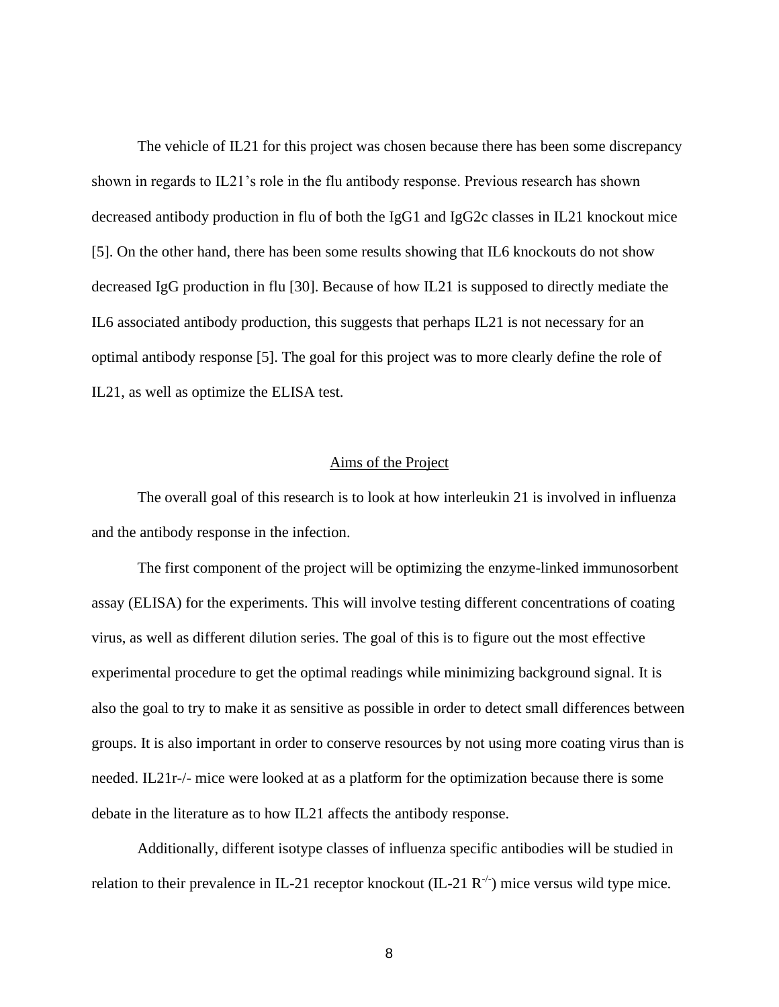The vehicle of IL21 for this project was chosen because there has been some discrepancy shown in regards to IL21's role in the flu antibody response. Previous research has shown decreased antibody production in flu of both the IgG1 and IgG2c classes in IL21 knockout mice [5]. On the other hand, there has been some results showing that IL6 knockouts do not show decreased IgG production in flu [30]. Because of how IL21 is supposed to directly mediate the IL6 associated antibody production, this suggests that perhaps IL21 is not necessary for an optimal antibody response [5]. The goal for this project was to more clearly define the role of IL21, as well as optimize the ELISA test.

#### Aims of the Project

The overall goal of this research is to look at how interleukin 21 is involved in influenza and the antibody response in the infection.

The first component of the project will be optimizing the enzyme-linked immunosorbent assay (ELISA) for the experiments. This will involve testing different concentrations of coating virus, as well as different dilution series. The goal of this is to figure out the most effective experimental procedure to get the optimal readings while minimizing background signal. It is also the goal to try to make it as sensitive as possible in order to detect small differences between groups. It is also important in order to conserve resources by not using more coating virus than is needed. IL21r-/- mice were looked at as a platform for the optimization because there is some debate in the literature as to how IL21 affects the antibody response.

Additionally, different isotype classes of influenza specific antibodies will be studied in relation to their prevalence in IL-21 receptor knockout (IL-21  $R^{-/-}$ ) mice versus wild type mice.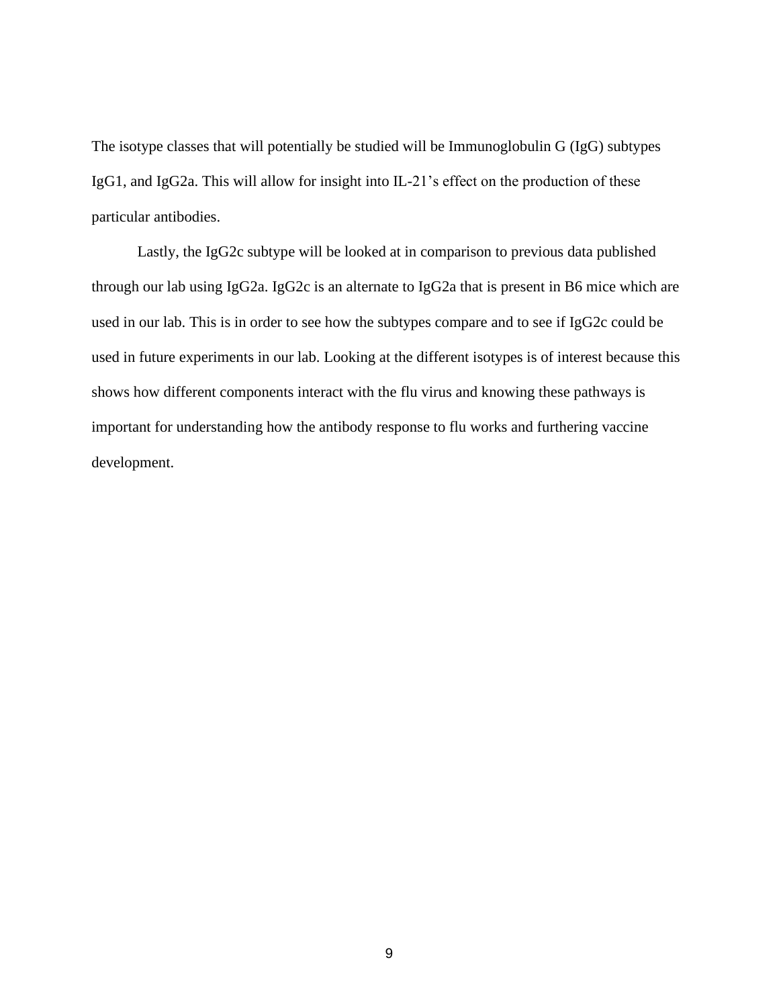The isotype classes that will potentially be studied will be Immunoglobulin G (IgG) subtypes IgG1, and IgG2a. This will allow for insight into IL-21's effect on the production of these particular antibodies.

Lastly, the IgG2c subtype will be looked at in comparison to previous data published through our lab using IgG2a. IgG2c is an alternate to IgG2a that is present in B6 mice which are used in our lab. This is in order to see how the subtypes compare and to see if IgG2c could be used in future experiments in our lab. Looking at the different isotypes is of interest because this shows how different components interact with the flu virus and knowing these pathways is important for understanding how the antibody response to flu works and furthering vaccine development.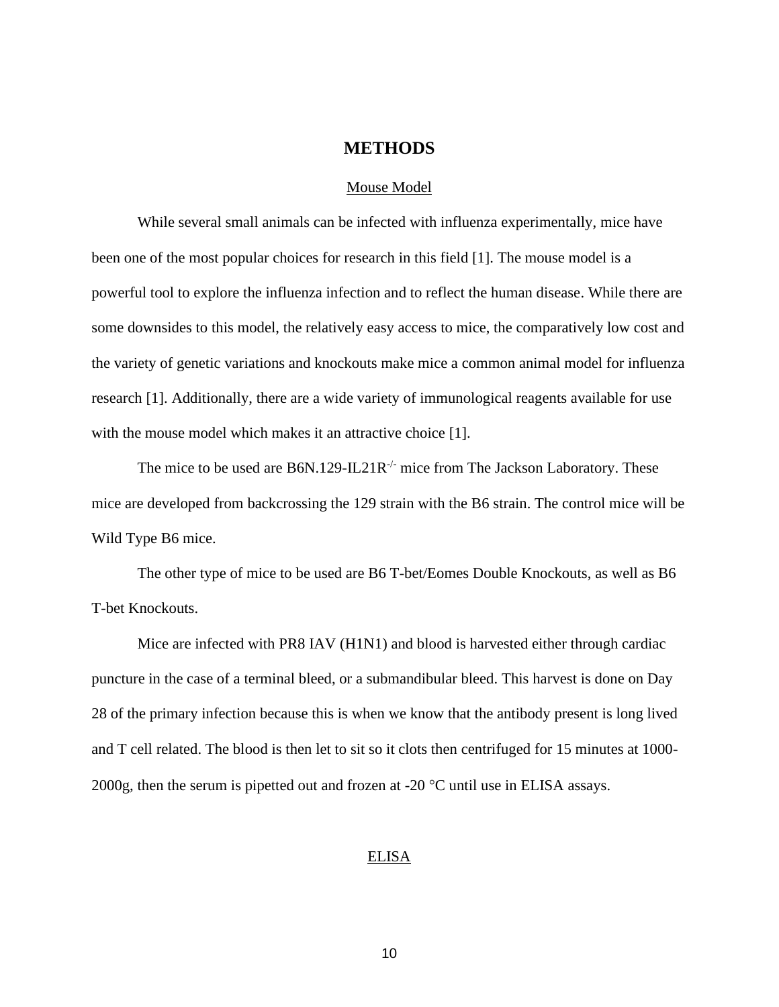### **METHODS**

#### Mouse Model

While several small animals can be infected with influenza experimentally, mice have been one of the most popular choices for research in this field [1]. The mouse model is a powerful tool to explore the influenza infection and to reflect the human disease. While there are some downsides to this model, the relatively easy access to mice, the comparatively low cost and the variety of genetic variations and knockouts make mice a common animal model for influenza research [1]. Additionally, there are a wide variety of immunological reagents available for use with the mouse model which makes it an attractive choice [1].

The mice to be used are B6N.129-IL21R<sup>-/-</sup> mice from The Jackson Laboratory. These mice are developed from backcrossing the 129 strain with the B6 strain. The control mice will be Wild Type B6 mice.

The other type of mice to be used are B6 T-bet/Eomes Double Knockouts, as well as B6 T-bet Knockouts.

Mice are infected with PR8 IAV (H1N1) and blood is harvested either through cardiac puncture in the case of a terminal bleed, or a submandibular bleed. This harvest is done on Day 28 of the primary infection because this is when we know that the antibody present is long lived and T cell related. The blood is then let to sit so it clots then centrifuged for 15 minutes at 1000- 2000g, then the serum is pipetted out and frozen at -20  $^{\circ}$ C until use in ELISA assays.

#### ELISA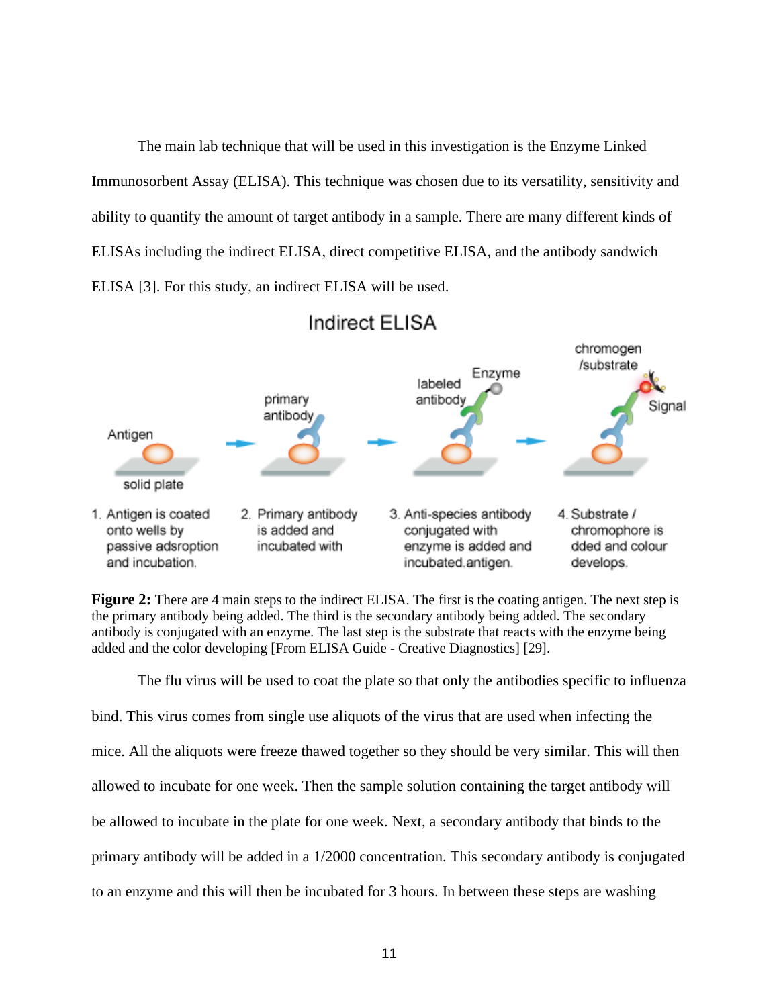The main lab technique that will be used in this investigation is the Enzyme Linked Immunosorbent Assay (ELISA). This technique was chosen due to its versatility, sensitivity and ability to quantify the amount of target antibody in a sample. There are many different kinds of ELISAs including the indirect ELISA, direct competitive ELISA, and the antibody sandwich ELISA [3]. For this study, an indirect ELISA will be used.



### Indirect ELISA

**Figure 2:** There are 4 main steps to the indirect ELISA. The first is the coating antigen. The next step is the primary antibody being added. The third is the secondary antibody being added. The secondary antibody is conjugated with an enzyme. The last step is the substrate that reacts with the enzyme being added and the color developing [From ELISA Guide - Creative Diagnostics] [29].

The flu virus will be used to coat the plate so that only the antibodies specific to influenza bind. This virus comes from single use aliquots of the virus that are used when infecting the mice. All the aliquots were freeze thawed together so they should be very similar. This will then allowed to incubate for one week. Then the sample solution containing the target antibody will be allowed to incubate in the plate for one week. Next, a secondary antibody that binds to the primary antibody will be added in a 1/2000 concentration. This secondary antibody is conjugated to an enzyme and this will then be incubated for 3 hours. In between these steps are washing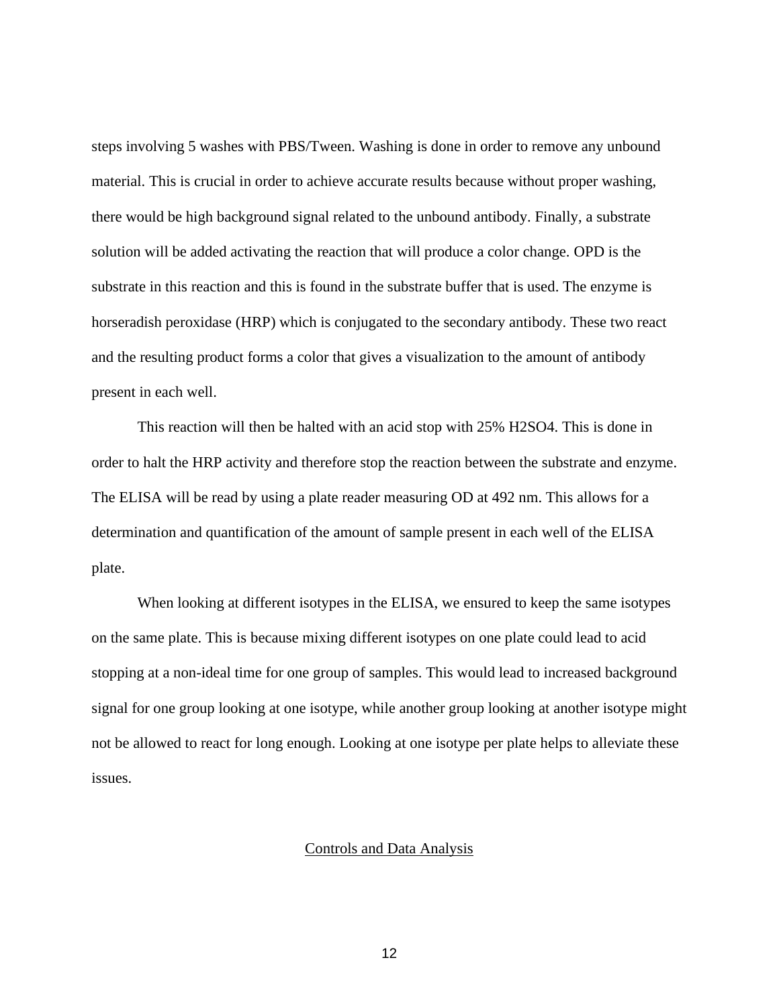steps involving 5 washes with PBS/Tween. Washing is done in order to remove any unbound material. This is crucial in order to achieve accurate results because without proper washing, there would be high background signal related to the unbound antibody. Finally, a substrate solution will be added activating the reaction that will produce a color change. OPD is the substrate in this reaction and this is found in the substrate buffer that is used. The enzyme is horseradish peroxidase (HRP) which is conjugated to the secondary antibody. These two react and the resulting product forms a color that gives a visualization to the amount of antibody present in each well.

This reaction will then be halted with an acid stop with 25% H2SO4. This is done in order to halt the HRP activity and therefore stop the reaction between the substrate and enzyme. The ELISA will be read by using a plate reader measuring OD at 492 nm. This allows for a determination and quantification of the amount of sample present in each well of the ELISA plate.

When looking at different isotypes in the ELISA, we ensured to keep the same isotypes on the same plate. This is because mixing different isotypes on one plate could lead to acid stopping at a non-ideal time for one group of samples. This would lead to increased background signal for one group looking at one isotype, while another group looking at another isotype might not be allowed to react for long enough. Looking at one isotype per plate helps to alleviate these issues.

#### Controls and Data Analysis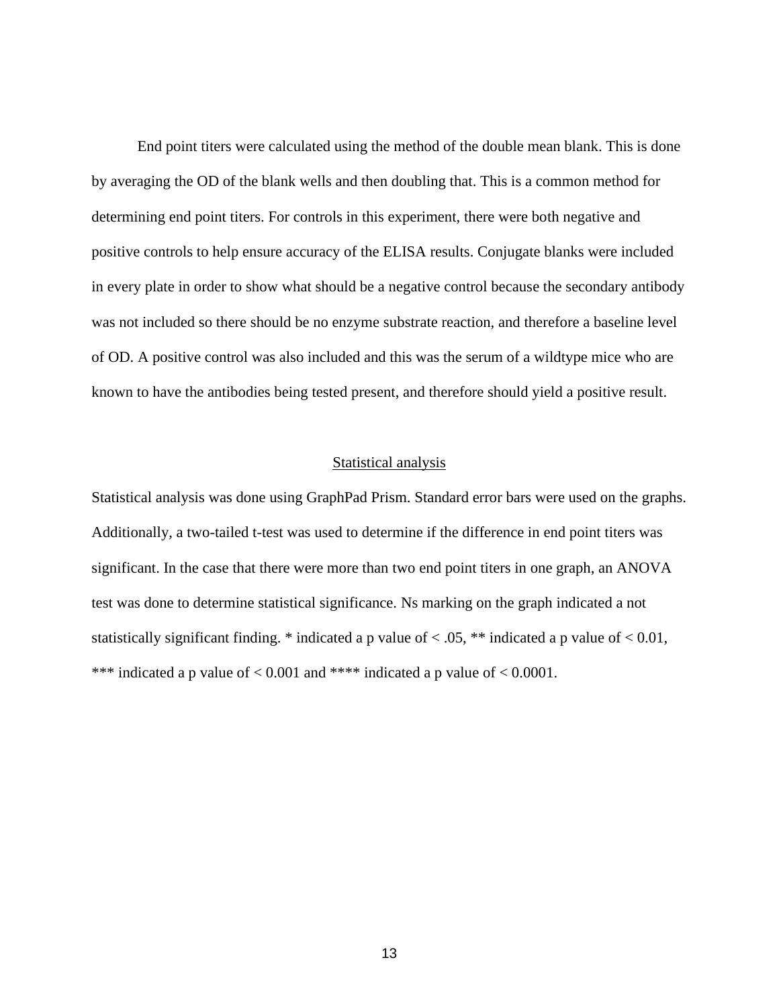End point titers were calculated using the method of the double mean blank. This is done by averaging the OD of the blank wells and then doubling that. This is a common method for determining end point titers. For controls in this experiment, there were both negative and positive controls to help ensure accuracy of the ELISA results. Conjugate blanks were included in every plate in order to show what should be a negative control because the secondary antibody was not included so there should be no enzyme substrate reaction, and therefore a baseline level of OD. A positive control was also included and this was the serum of a wildtype mice who are known to have the antibodies being tested present, and therefore should yield a positive result.

#### Statistical analysis

Statistical analysis was done using GraphPad Prism. Standard error bars were used on the graphs. Additionally, a two-tailed t-test was used to determine if the difference in end point titers was significant. In the case that there were more than two end point titers in one graph, an ANOVA test was done to determine statistical significance. Ns marking on the graph indicated a not statistically significant finding. \* indicated a p value of  $<$  0.05, \*\* indicated a p value of  $<$  0.01, \*\*\* indicated a p value of  $< 0.001$  and \*\*\*\* indicated a p value of  $< 0.0001$ .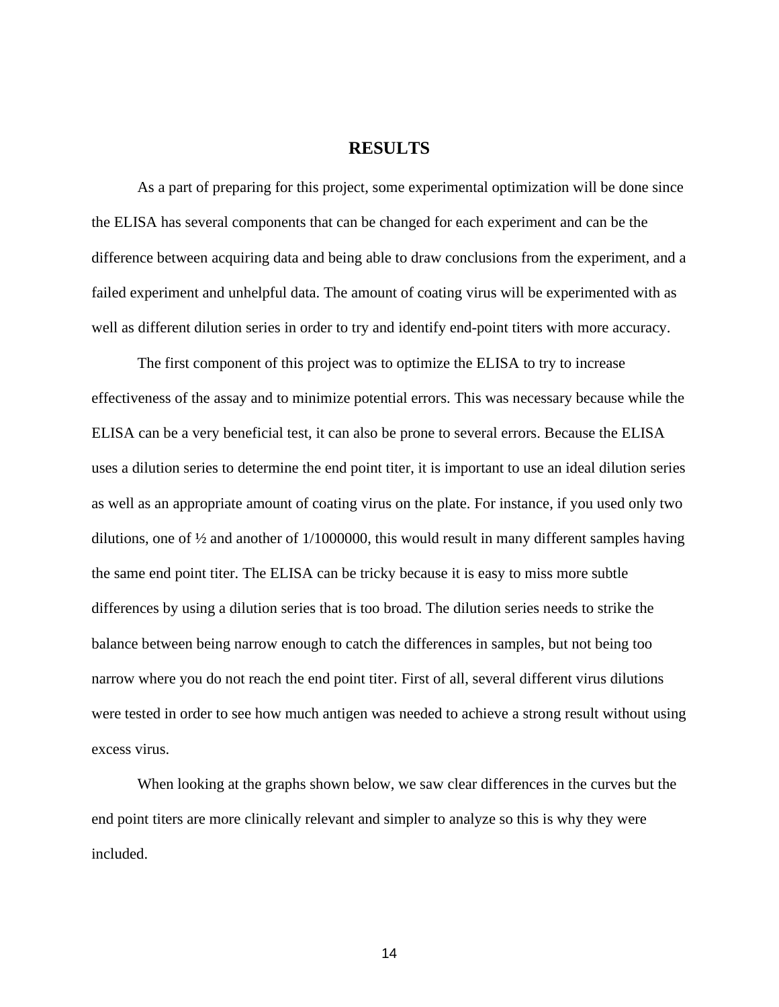### **RESULTS**

As a part of preparing for this project, some experimental optimization will be done since the ELISA has several components that can be changed for each experiment and can be the difference between acquiring data and being able to draw conclusions from the experiment, and a failed experiment and unhelpful data. The amount of coating virus will be experimented with as well as different dilution series in order to try and identify end-point titers with more accuracy.

The first component of this project was to optimize the ELISA to try to increase effectiveness of the assay and to minimize potential errors. This was necessary because while the ELISA can be a very beneficial test, it can also be prone to several errors. Because the ELISA uses a dilution series to determine the end point titer, it is important to use an ideal dilution series as well as an appropriate amount of coating virus on the plate. For instance, if you used only two dilutions, one of ½ and another of 1/1000000, this would result in many different samples having the same end point titer. The ELISA can be tricky because it is easy to miss more subtle differences by using a dilution series that is too broad. The dilution series needs to strike the balance between being narrow enough to catch the differences in samples, but not being too narrow where you do not reach the end point titer. First of all, several different virus dilutions were tested in order to see how much antigen was needed to achieve a strong result without using excess virus.

When looking at the graphs shown below, we saw clear differences in the curves but the end point titers are more clinically relevant and simpler to analyze so this is why they were included.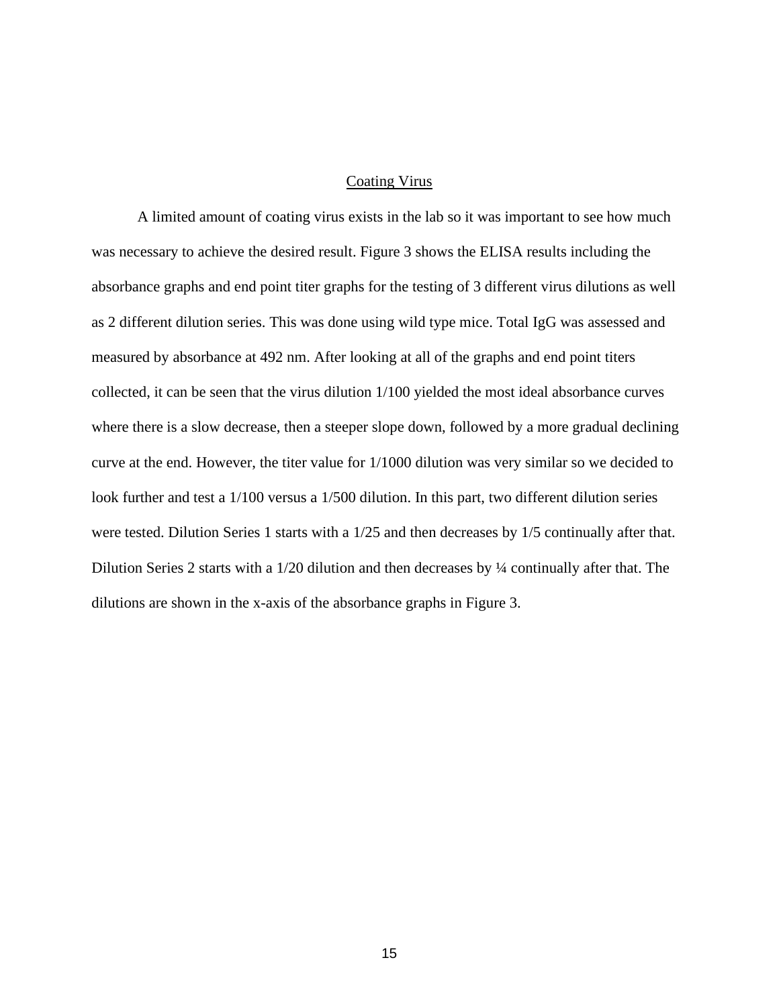#### Coating Virus

A limited amount of coating virus exists in the lab so it was important to see how much was necessary to achieve the desired result. Figure 3 shows the ELISA results including the absorbance graphs and end point titer graphs for the testing of 3 different virus dilutions as well as 2 different dilution series. This was done using wild type mice. Total IgG was assessed and measured by absorbance at 492 nm. After looking at all of the graphs and end point titers collected, it can be seen that the virus dilution 1/100 yielded the most ideal absorbance curves where there is a slow decrease, then a steeper slope down, followed by a more gradual declining curve at the end. However, the titer value for 1/1000 dilution was very similar so we decided to look further and test a 1/100 versus a 1/500 dilution. In this part, two different dilution series were tested. Dilution Series 1 starts with a 1/25 and then decreases by 1/5 continually after that. Dilution Series 2 starts with a 1/20 dilution and then decreases by ¼ continually after that. The dilutions are shown in the x-axis of the absorbance graphs in Figure 3.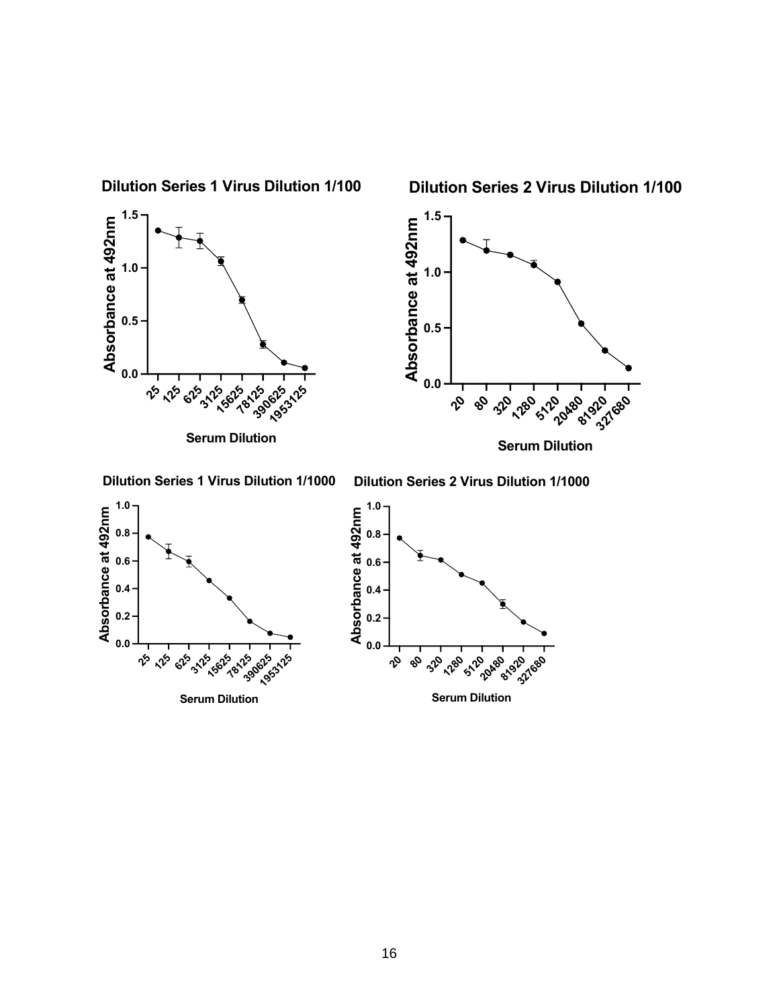**Dilution Series 1 Virus Dilution 1/100**

**Dilution Series 2 Virus Dilution 1/100**





**Dilution Series 1 Virus Dilution 1/1000**

**Dilution Series 2 Virus Dilution 1/1000**





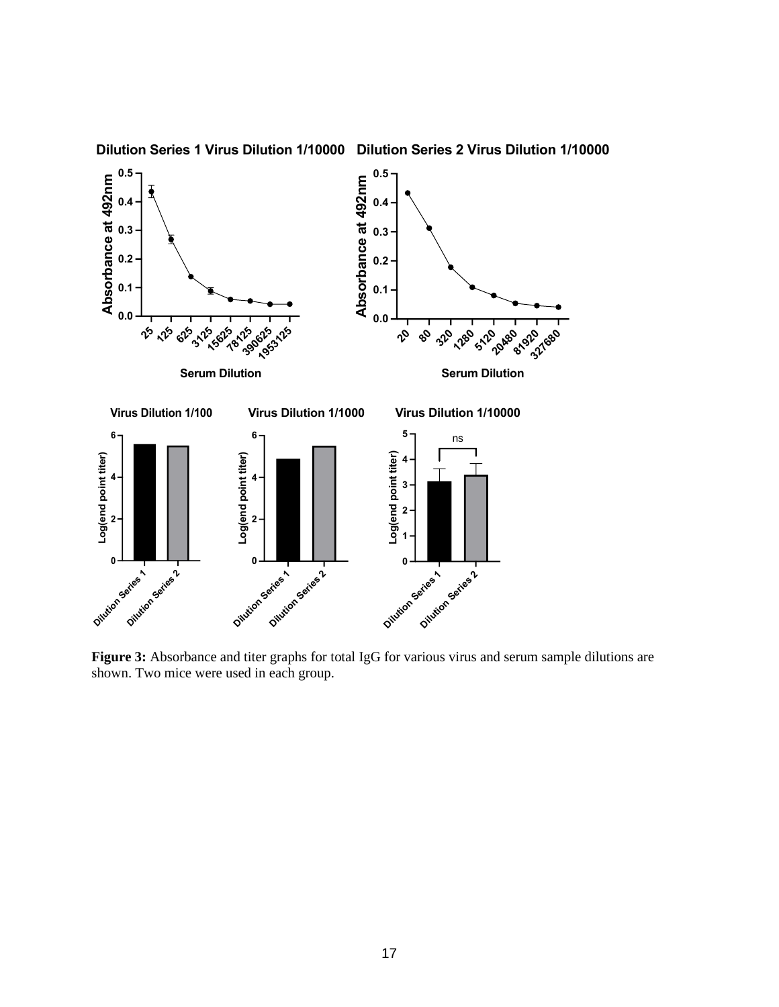

**Dilution Series 1 Virus Dilution 1/10000 Dilution Series 2 Virus Dilution 1/10000**

**Figure 3:** Absorbance and titer graphs for total IgG for various virus and serum sample dilutions are shown. Two mice were used in each group.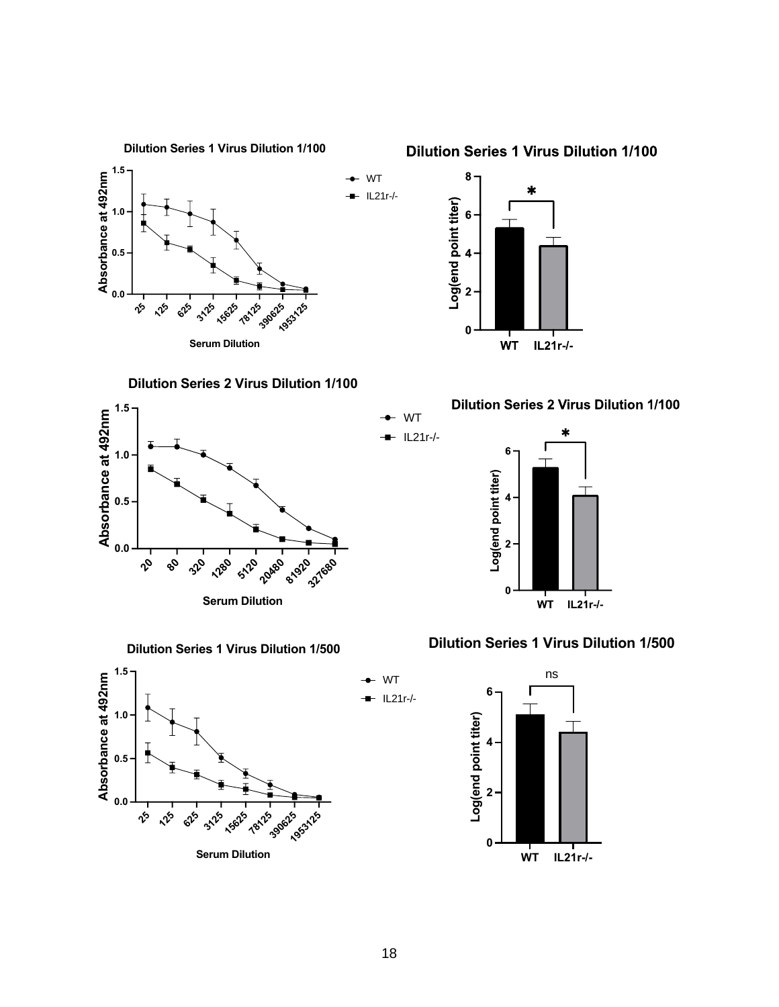

**Dilution Series 1 Virus Dilution 1/100**

 $\sqrt[6]{2}$ **125 625 3125 15625 78125 390625 1953125 0.0 0.5 Absorbance at 492nm**

**Serum Dilution**

WT IL21r-/-

> WT IL21r-/-



**Dilution Series 1 Virus Dilution 1/500**











### **Dilution Series 1 Virus Dilution 1/500**



WT IL21r-/-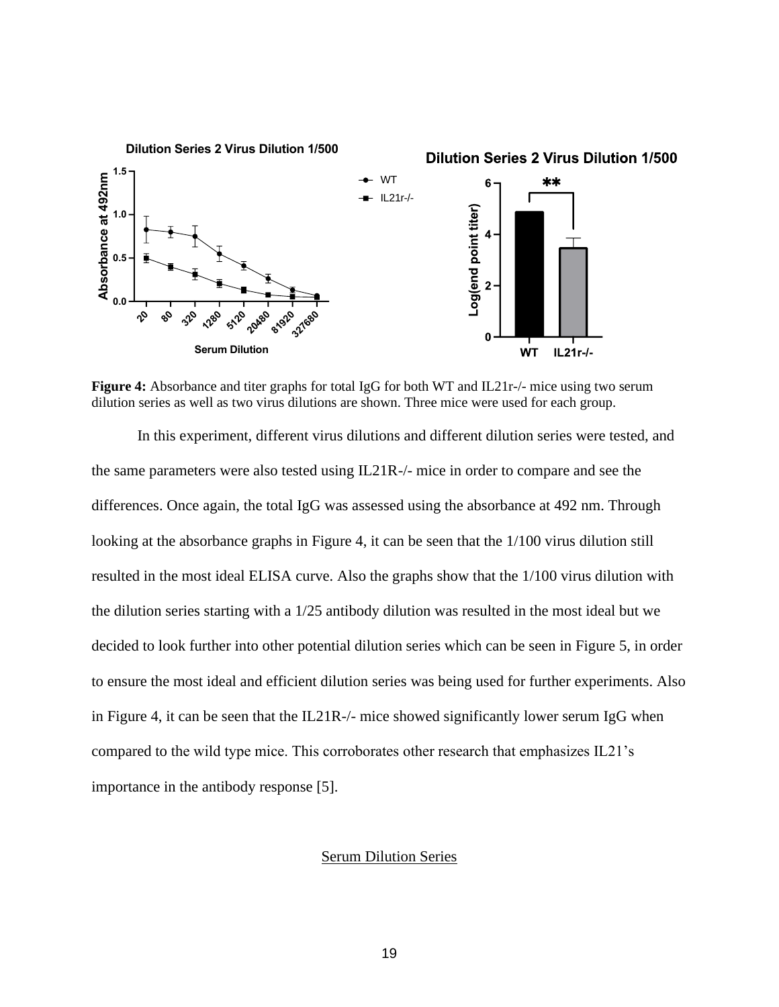

**Figure 4:** Absorbance and titer graphs for total IgG for both WT and IL21r-/- mice using two serum dilution series as well as two virus dilutions are shown. Three mice were used for each group.

In this experiment, different virus dilutions and different dilution series were tested, and the same parameters were also tested using IL21R-/- mice in order to compare and see the differences. Once again, the total IgG was assessed using the absorbance at 492 nm. Through looking at the absorbance graphs in Figure 4, it can be seen that the  $1/100$  virus dilution still resulted in the most ideal ELISA curve. Also the graphs show that the 1/100 virus dilution with the dilution series starting with a 1/25 antibody dilution was resulted in the most ideal but we decided to look further into other potential dilution series which can be seen in Figure 5, in order to ensure the most ideal and efficient dilution series was being used for further experiments. Also in Figure 4, it can be seen that the IL21R-/- mice showed significantly lower serum IgG when compared to the wild type mice. This corroborates other research that emphasizes IL21's importance in the antibody response [5].

#### Serum Dilution Series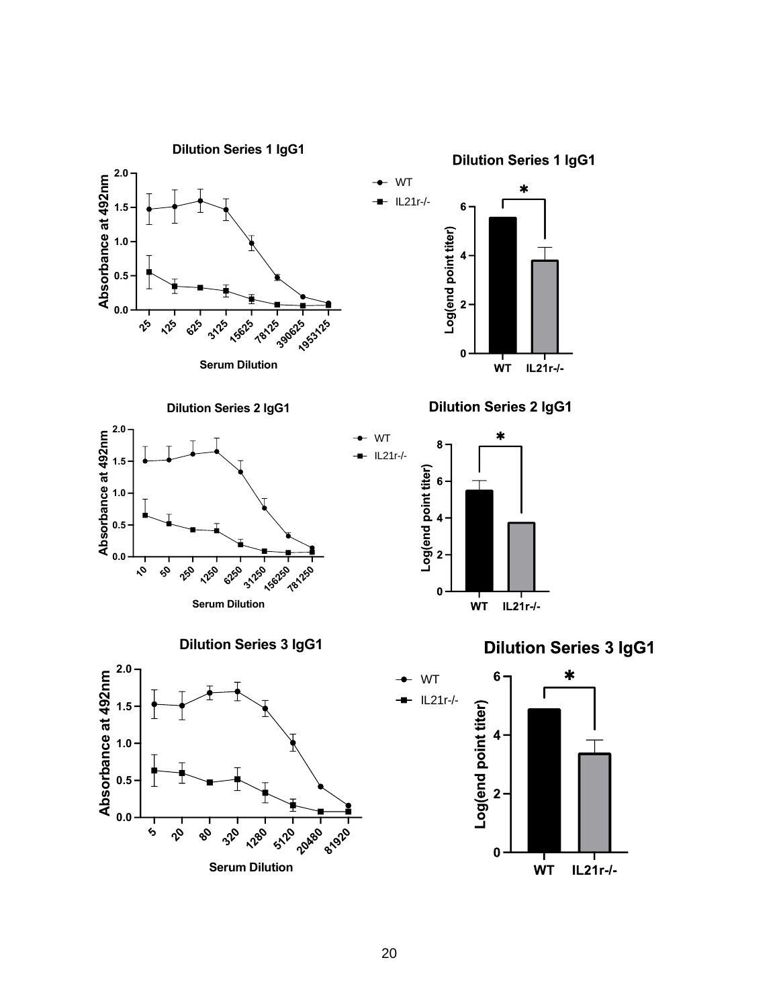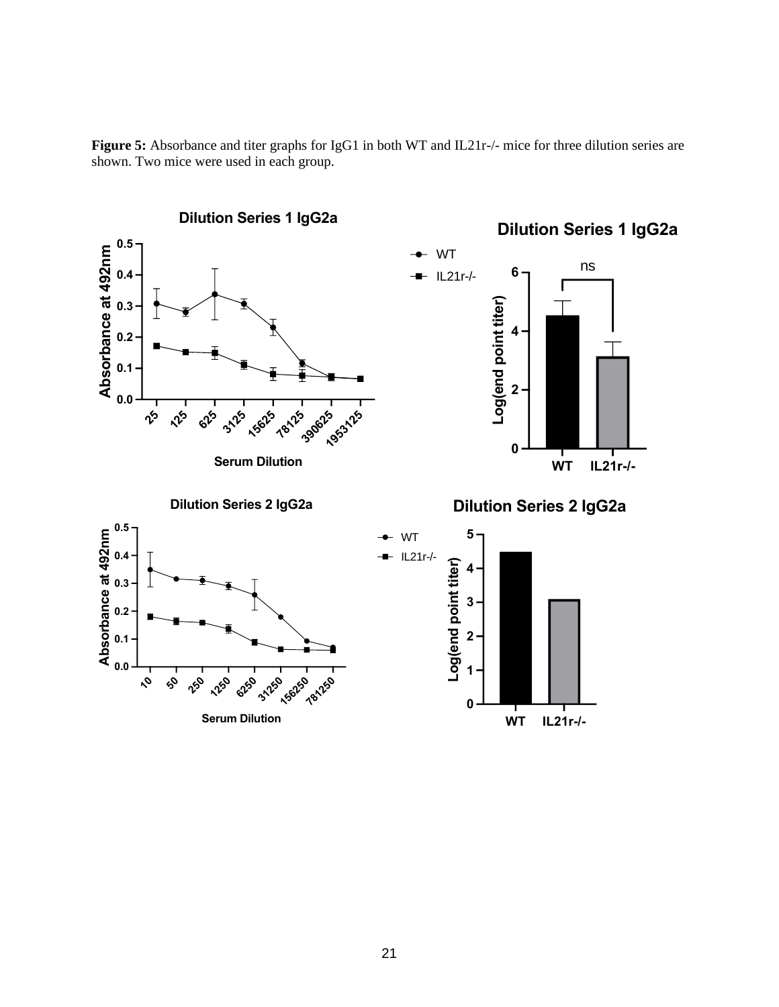

**Figure 5:** Absorbance and titer graphs for IgG1 in both WT and IL21r-/- mice for three dilution series are shown. Two mice were used in each group.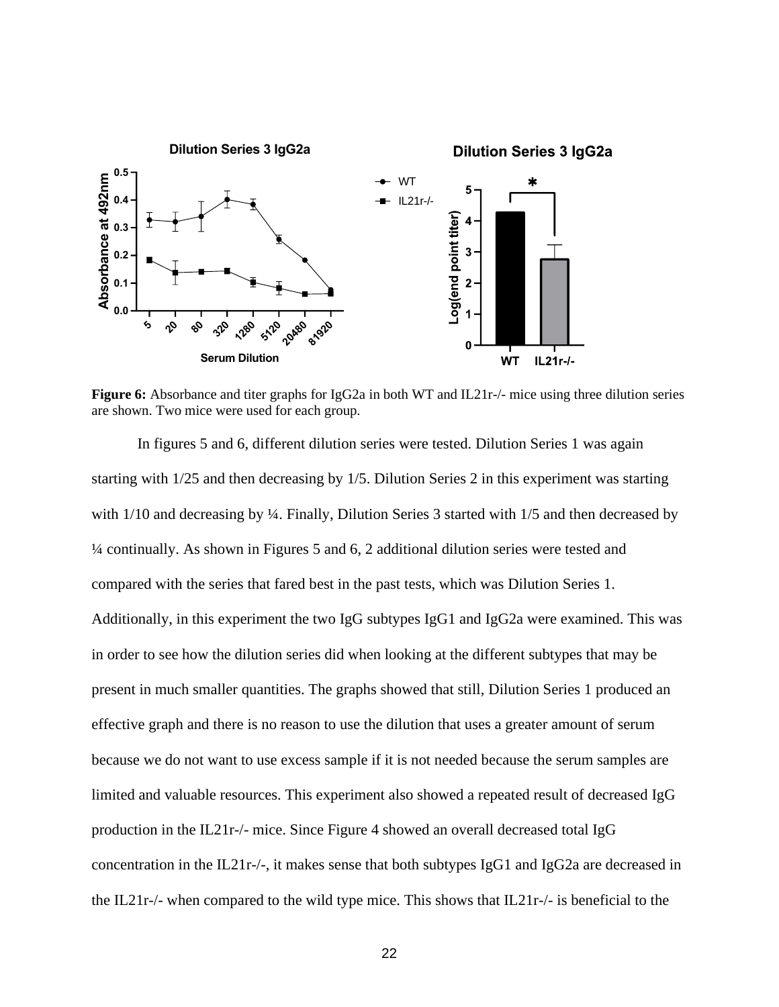

**Figure 6:** Absorbance and titer graphs for IgG2a in both WT and IL21r-/- mice using three dilution series are shown. Two mice were used for each group.

In figures 5 and 6, different dilution series were tested. Dilution Series 1 was again starting with 1/25 and then decreasing by 1/5. Dilution Series 2 in this experiment was starting with  $1/10$  and decreasing by ¼. Finally, Dilution Series 3 started with  $1/5$  and then decreased by ¼ continually. As shown in Figures 5 and 6, 2 additional dilution series were tested and compared with the series that fared best in the past tests, which was Dilution Series 1. Additionally, in this experiment the two IgG subtypes IgG1 and IgG2a were examined. This was in order to see how the dilution series did when looking at the different subtypes that may be present in much smaller quantities. The graphs showed that still, Dilution Series 1 produced an effective graph and there is no reason to use the dilution that uses a greater amount of serum because we do not want to use excess sample if it is not needed because the serum samples are limited and valuable resources. This experiment also showed a repeated result of decreased IgG production in the IL21r-/- mice. Since Figure 4 showed an overall decreased total IgG concentration in the IL21r-/-, it makes sense that both subtypes IgG1 and IgG2a are decreased in the IL21r-/- when compared to the wild type mice. This shows that IL21r-/- is beneficial to the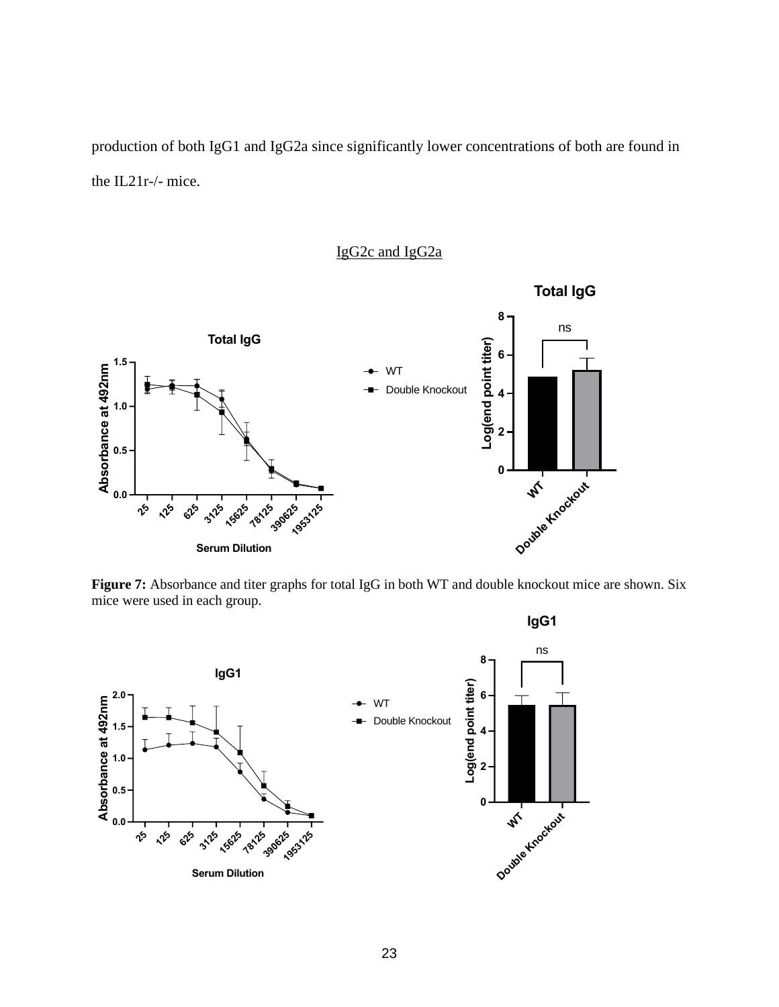production of both IgG1 and IgG2a since significantly lower concentrations of both are found in the IL21r-/- mice.

### IgG2c and IgG2a



**Figure 7:** Absorbance and titer graphs for total IgG in both WT and double knockout mice are shown. Six mice were used in each group.

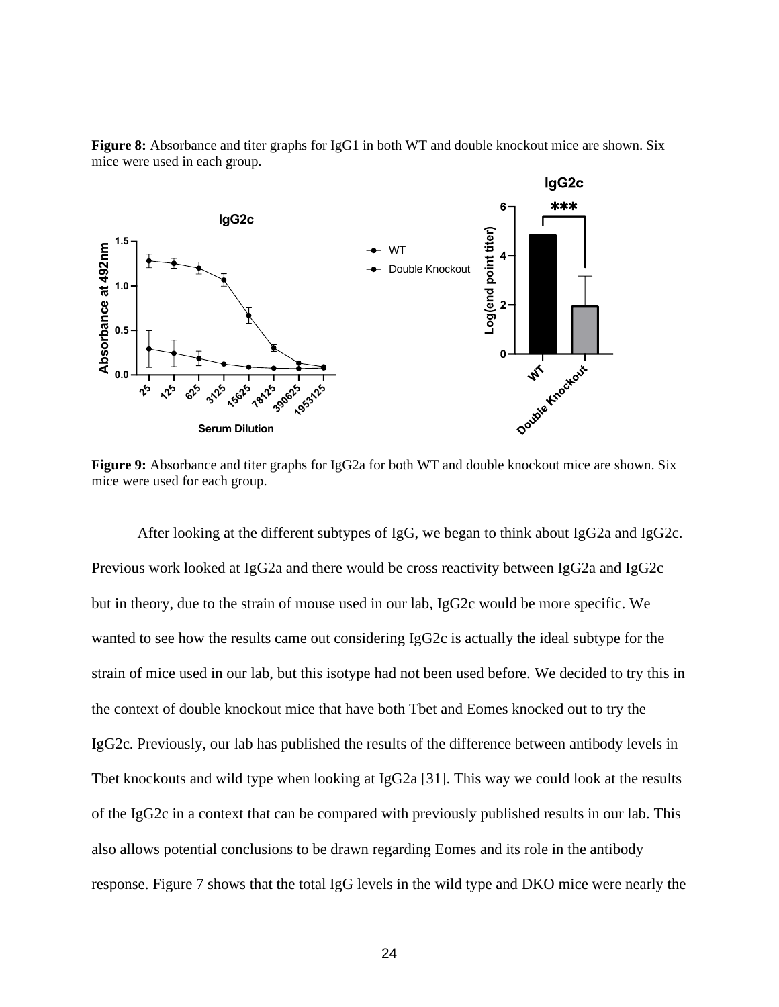

**Figure 8:** Absorbance and titer graphs for IgG1 in both WT and double knockout mice are shown. Six mice were used in each group.

**Figure 9:** Absorbance and titer graphs for IgG2a for both WT and double knockout mice are shown. Six mice were used for each group.

After looking at the different subtypes of IgG, we began to think about IgG2a and IgG2c. Previous work looked at IgG2a and there would be cross reactivity between IgG2a and IgG2c but in theory, due to the strain of mouse used in our lab, IgG2c would be more specific. We wanted to see how the results came out considering IgG2c is actually the ideal subtype for the strain of mice used in our lab, but this isotype had not been used before. We decided to try this in the context of double knockout mice that have both Tbet and Eomes knocked out to try the IgG2c. Previously, our lab has published the results of the difference between antibody levels in Tbet knockouts and wild type when looking at IgG2a [31]. This way we could look at the results of the IgG2c in a context that can be compared with previously published results in our lab. This also allows potential conclusions to be drawn regarding Eomes and its role in the antibody response. Figure 7 shows that the total IgG levels in the wild type and DKO mice were nearly the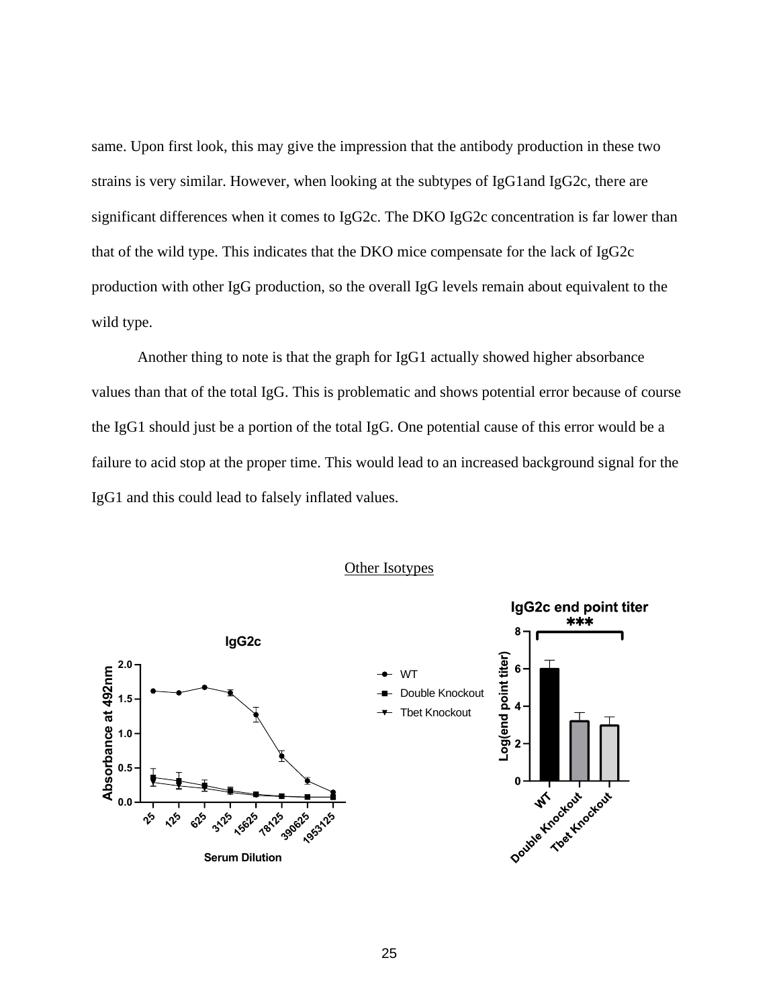same. Upon first look, this may give the impression that the antibody production in these two strains is very similar. However, when looking at the subtypes of IgG1and IgG2c, there are significant differences when it comes to IgG2c. The DKO IgG2c concentration is far lower than that of the wild type. This indicates that the DKO mice compensate for the lack of IgG2c production with other IgG production, so the overall IgG levels remain about equivalent to the wild type.

Another thing to note is that the graph for IgG1 actually showed higher absorbance values than that of the total IgG. This is problematic and shows potential error because of course the IgG1 should just be a portion of the total IgG. One potential cause of this error would be a failure to acid stop at the proper time. This would lead to an increased background signal for the IgG1 and this could lead to falsely inflated values.



#### Other Isotypes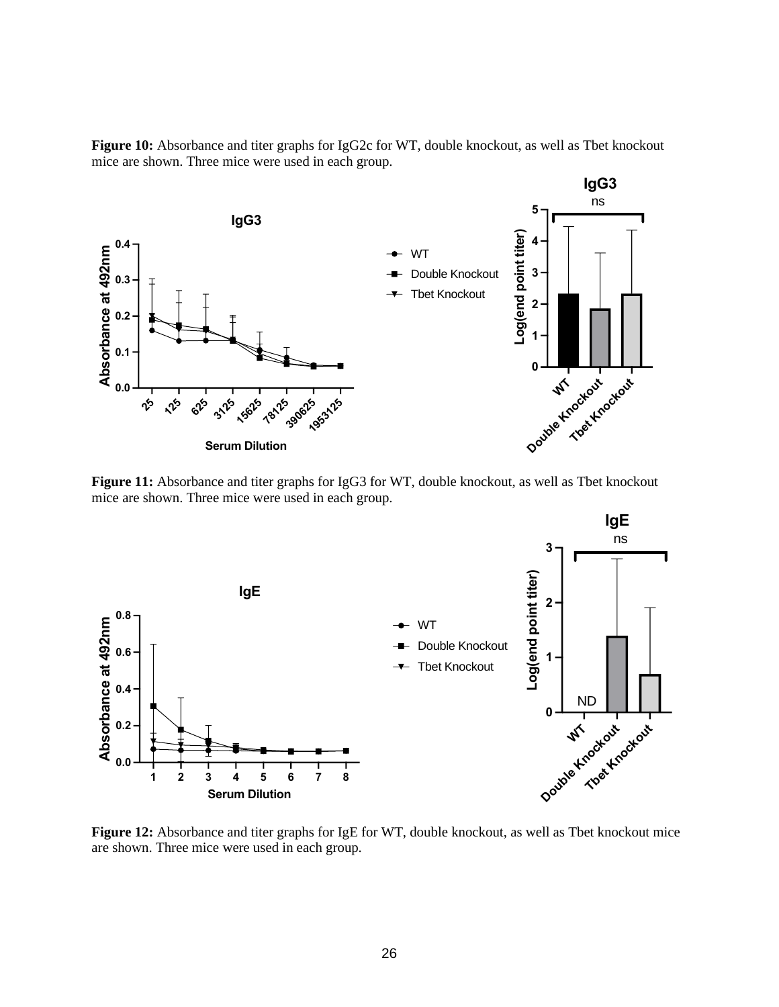



**Figure 11:** Absorbance and titer graphs for IgG3 for WT, double knockout, as well as Tbet knockout mice are shown. Three mice were used in each group.



**Figure 12:** Absorbance and titer graphs for IgE for WT, double knockout, as well as Tbet knockout mice are shown. Three mice were used in each group.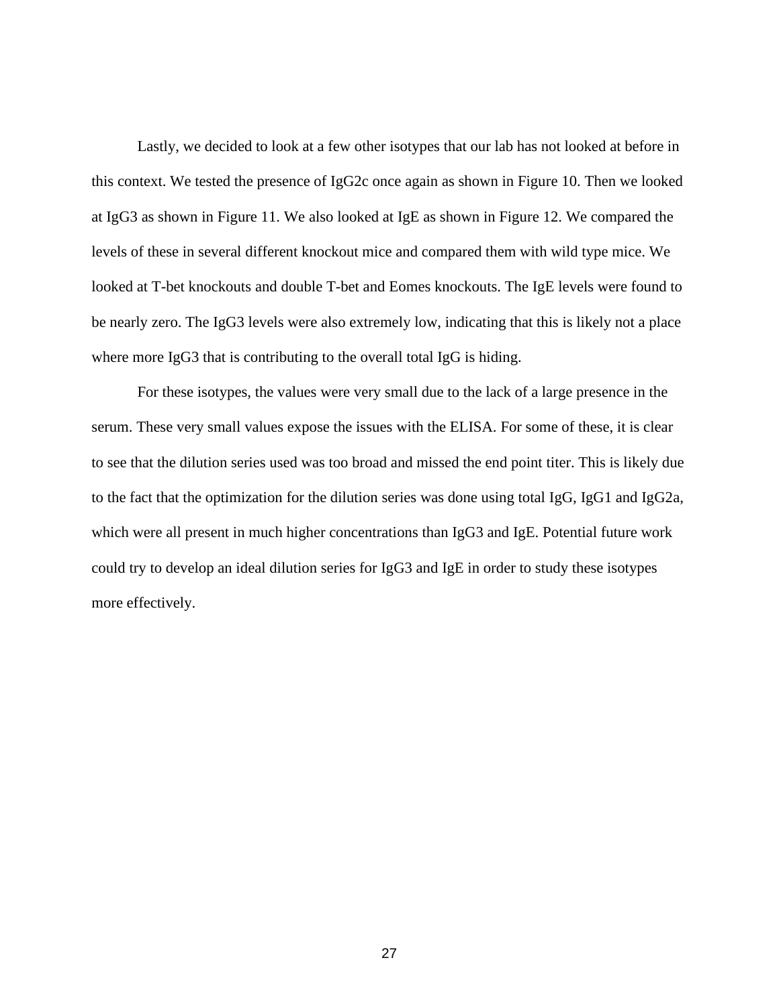Lastly, we decided to look at a few other isotypes that our lab has not looked at before in this context. We tested the presence of IgG2c once again as shown in Figure 10. Then we looked at IgG3 as shown in Figure 11. We also looked at IgE as shown in Figure 12. We compared the levels of these in several different knockout mice and compared them with wild type mice. We looked at T-bet knockouts and double T-bet and Eomes knockouts. The IgE levels were found to be nearly zero. The IgG3 levels were also extremely low, indicating that this is likely not a place where more IgG3 that is contributing to the overall total IgG is hiding.

For these isotypes, the values were very small due to the lack of a large presence in the serum. These very small values expose the issues with the ELISA. For some of these, it is clear to see that the dilution series used was too broad and missed the end point titer. This is likely due to the fact that the optimization for the dilution series was done using total IgG, IgG1 and IgG2a, which were all present in much higher concentrations than IgG3 and IgE. Potential future work could try to develop an ideal dilution series for IgG3 and IgE in order to study these isotypes more effectively.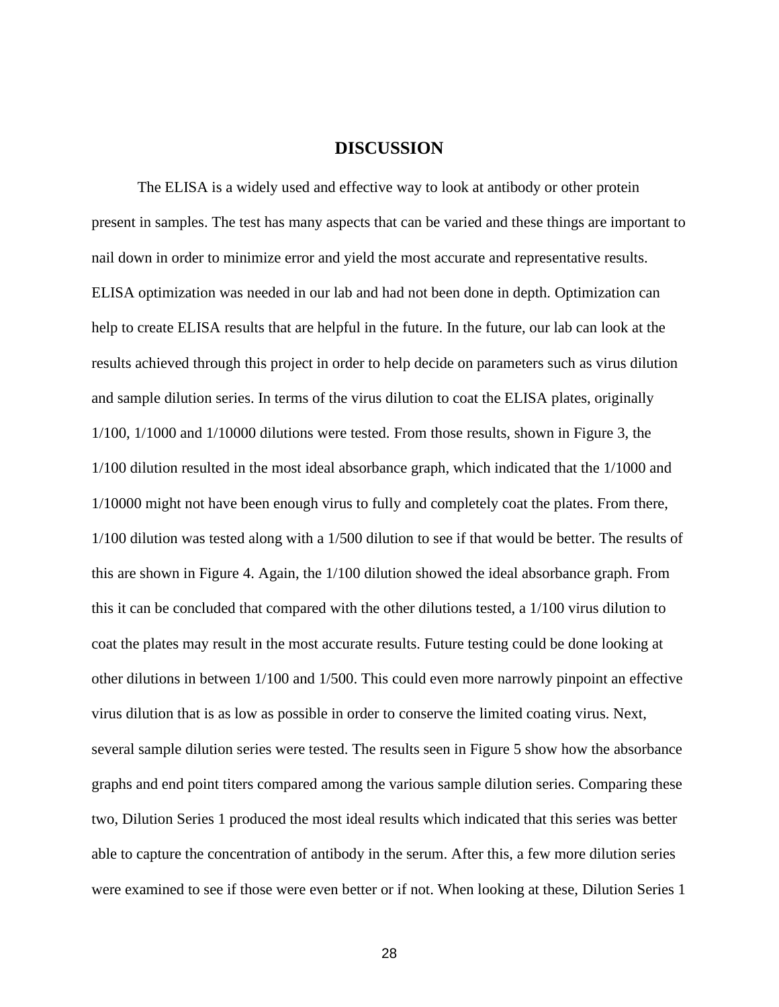### **DISCUSSION**

The ELISA is a widely used and effective way to look at antibody or other protein present in samples. The test has many aspects that can be varied and these things are important to nail down in order to minimize error and yield the most accurate and representative results. ELISA optimization was needed in our lab and had not been done in depth. Optimization can help to create ELISA results that are helpful in the future. In the future, our lab can look at the results achieved through this project in order to help decide on parameters such as virus dilution and sample dilution series. In terms of the virus dilution to coat the ELISA plates, originally 1/100, 1/1000 and 1/10000 dilutions were tested. From those results, shown in Figure 3, the 1/100 dilution resulted in the most ideal absorbance graph, which indicated that the 1/1000 and 1/10000 might not have been enough virus to fully and completely coat the plates. From there, 1/100 dilution was tested along with a 1/500 dilution to see if that would be better. The results of this are shown in Figure 4. Again, the 1/100 dilution showed the ideal absorbance graph. From this it can be concluded that compared with the other dilutions tested, a 1/100 virus dilution to coat the plates may result in the most accurate results. Future testing could be done looking at other dilutions in between 1/100 and 1/500. This could even more narrowly pinpoint an effective virus dilution that is as low as possible in order to conserve the limited coating virus. Next, several sample dilution series were tested. The results seen in Figure 5 show how the absorbance graphs and end point titers compared among the various sample dilution series. Comparing these two, Dilution Series 1 produced the most ideal results which indicated that this series was better able to capture the concentration of antibody in the serum. After this, a few more dilution series were examined to see if those were even better or if not. When looking at these, Dilution Series 1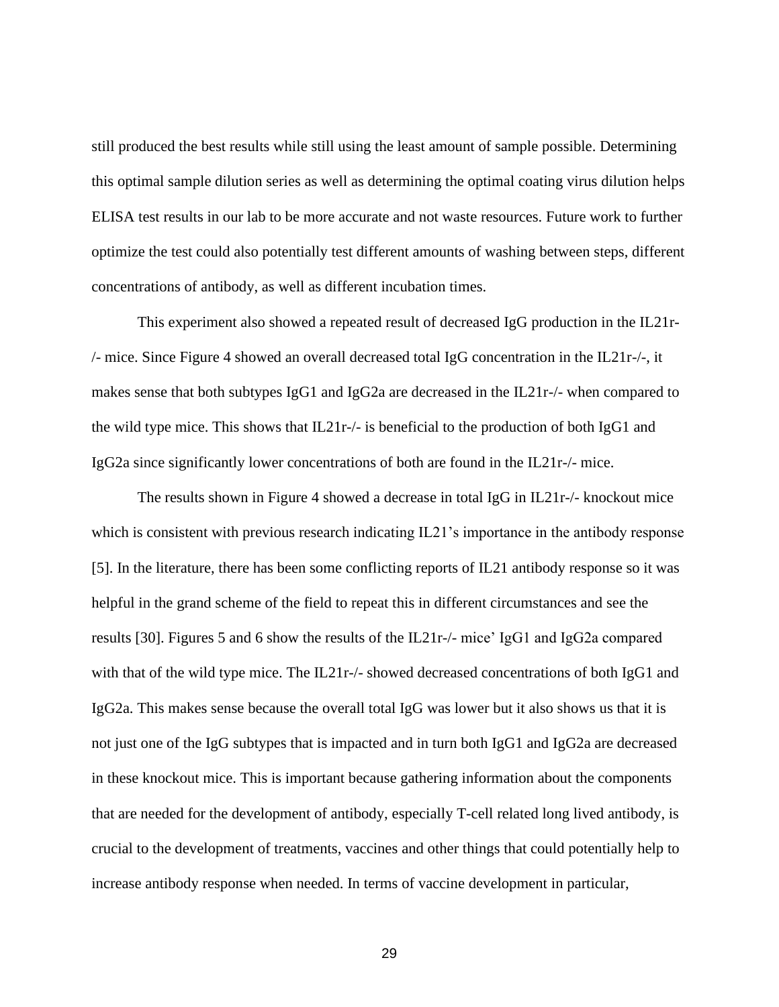still produced the best results while still using the least amount of sample possible. Determining this optimal sample dilution series as well as determining the optimal coating virus dilution helps ELISA test results in our lab to be more accurate and not waste resources. Future work to further optimize the test could also potentially test different amounts of washing between steps, different concentrations of antibody, as well as different incubation times.

This experiment also showed a repeated result of decreased IgG production in the IL21r- /- mice. Since Figure 4 showed an overall decreased total IgG concentration in the IL21r-/-, it makes sense that both subtypes IgG1 and IgG2a are decreased in the IL21r-/- when compared to the wild type mice. This shows that IL21r-/- is beneficial to the production of both IgG1 and IgG2a since significantly lower concentrations of both are found in the IL21r-/- mice.

The results shown in Figure 4 showed a decrease in total IgG in IL21r-/- knockout mice which is consistent with previous research indicating IL21's importance in the antibody response [5]. In the literature, there has been some conflicting reports of IL21 antibody response so it was helpful in the grand scheme of the field to repeat this in different circumstances and see the results [30]. Figures 5 and 6 show the results of the IL21r-/- mice' IgG1 and IgG2a compared with that of the wild type mice. The IL21r-/- showed decreased concentrations of both IgG1 and IgG2a. This makes sense because the overall total IgG was lower but it also shows us that it is not just one of the IgG subtypes that is impacted and in turn both IgG1 and IgG2a are decreased in these knockout mice. This is important because gathering information about the components that are needed for the development of antibody, especially T-cell related long lived antibody, is crucial to the development of treatments, vaccines and other things that could potentially help to increase antibody response when needed. In terms of vaccine development in particular,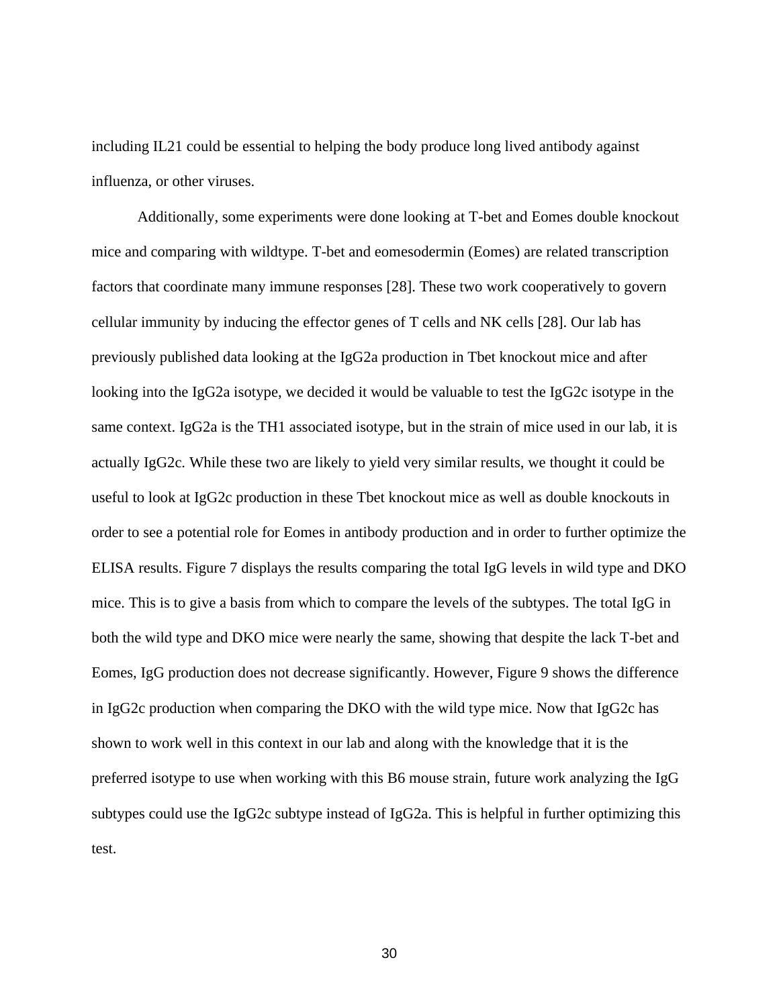including IL21 could be essential to helping the body produce long lived antibody against influenza, or other viruses.

Additionally, some experiments were done looking at T-bet and Eomes double knockout mice and comparing with wildtype. T-bet and eomesodermin (Eomes) are related transcription factors that coordinate many immune responses [28]. These two work cooperatively to govern cellular immunity by inducing the effector genes of T cells and NK cells [28]. Our lab has previously published data looking at the IgG2a production in Tbet knockout mice and after looking into the IgG2a isotype, we decided it would be valuable to test the IgG2c isotype in the same context. IgG2a is the TH1 associated isotype, but in the strain of mice used in our lab, it is actually IgG2c. While these two are likely to yield very similar results, we thought it could be useful to look at IgG2c production in these Tbet knockout mice as well as double knockouts in order to see a potential role for Eomes in antibody production and in order to further optimize the ELISA results. Figure 7 displays the results comparing the total IgG levels in wild type and DKO mice. This is to give a basis from which to compare the levels of the subtypes. The total IgG in both the wild type and DKO mice were nearly the same, showing that despite the lack T-bet and Eomes, IgG production does not decrease significantly. However, Figure 9 shows the difference in IgG2c production when comparing the DKO with the wild type mice. Now that IgG2c has shown to work well in this context in our lab and along with the knowledge that it is the preferred isotype to use when working with this B6 mouse strain, future work analyzing the IgG subtypes could use the IgG2c subtype instead of IgG2a. This is helpful in further optimizing this test.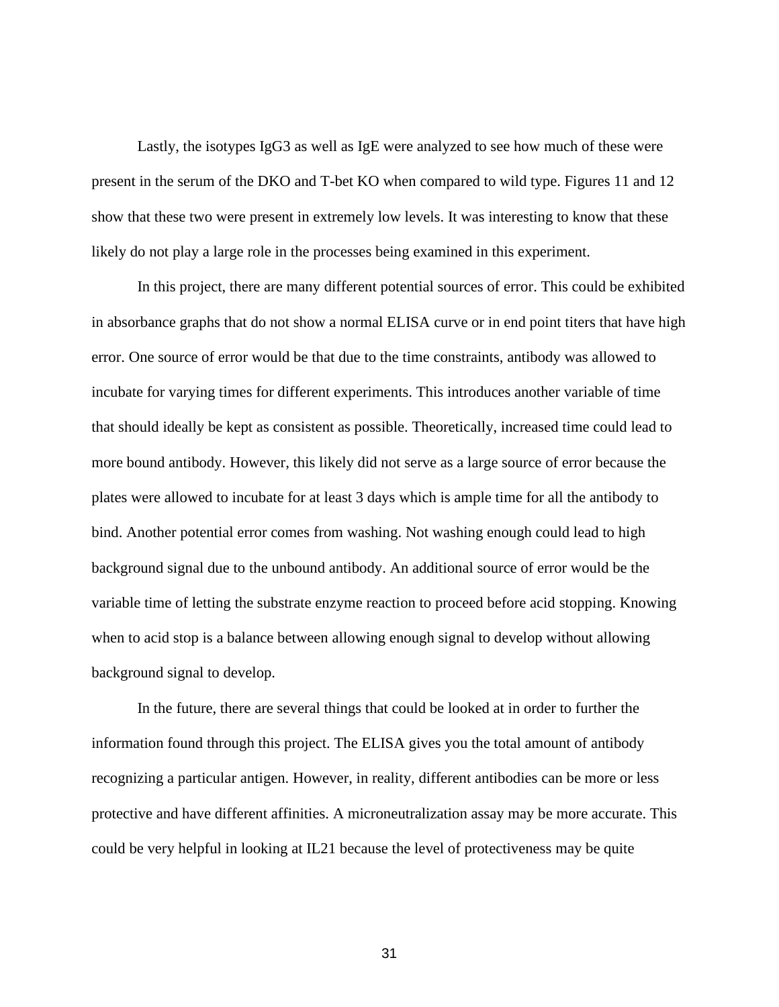Lastly, the isotypes IgG3 as well as IgE were analyzed to see how much of these were present in the serum of the DKO and T-bet KO when compared to wild type. Figures 11 and 12 show that these two were present in extremely low levels. It was interesting to know that these likely do not play a large role in the processes being examined in this experiment.

In this project, there are many different potential sources of error. This could be exhibited in absorbance graphs that do not show a normal ELISA curve or in end point titers that have high error. One source of error would be that due to the time constraints, antibody was allowed to incubate for varying times for different experiments. This introduces another variable of time that should ideally be kept as consistent as possible. Theoretically, increased time could lead to more bound antibody. However, this likely did not serve as a large source of error because the plates were allowed to incubate for at least 3 days which is ample time for all the antibody to bind. Another potential error comes from washing. Not washing enough could lead to high background signal due to the unbound antibody. An additional source of error would be the variable time of letting the substrate enzyme reaction to proceed before acid stopping. Knowing when to acid stop is a balance between allowing enough signal to develop without allowing background signal to develop.

In the future, there are several things that could be looked at in order to further the information found through this project. The ELISA gives you the total amount of antibody recognizing a particular antigen. However, in reality, different antibodies can be more or less protective and have different affinities. A microneutralization assay may be more accurate. This could be very helpful in looking at IL21 because the level of protectiveness may be quite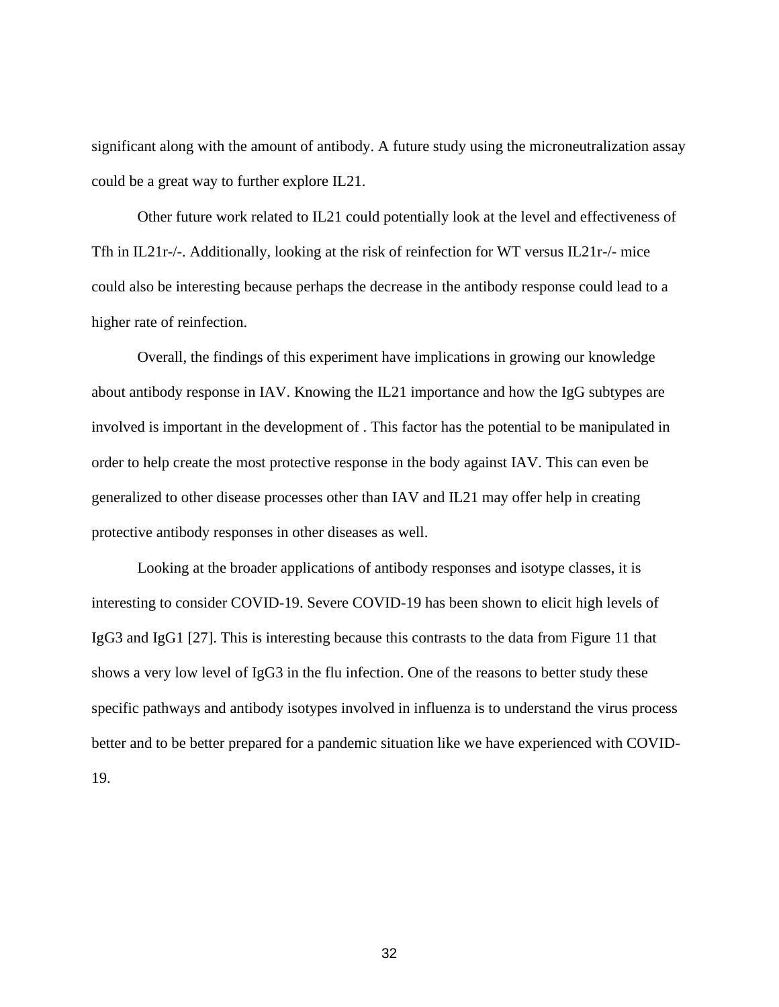significant along with the amount of antibody. A future study using the microneutralization assay could be a great way to further explore IL21.

Other future work related to IL21 could potentially look at the level and effectiveness of Tfh in IL21r-/-. Additionally, looking at the risk of reinfection for WT versus IL21r-/- mice could also be interesting because perhaps the decrease in the antibody response could lead to a higher rate of reinfection.

Overall, the findings of this experiment have implications in growing our knowledge about antibody response in IAV. Knowing the IL21 importance and how the IgG subtypes are involved is important in the development of . This factor has the potential to be manipulated in order to help create the most protective response in the body against IAV. This can even be generalized to other disease processes other than IAV and IL21 may offer help in creating protective antibody responses in other diseases as well.

Looking at the broader applications of antibody responses and isotype classes, it is interesting to consider COVID-19. Severe COVID-19 has been shown to elicit high levels of IgG3 and IgG1 [27]. This is interesting because this contrasts to the data from Figure 11 that shows a very low level of IgG3 in the flu infection. One of the reasons to better study these specific pathways and antibody isotypes involved in influenza is to understand the virus process better and to be better prepared for a pandemic situation like we have experienced with COVID-19.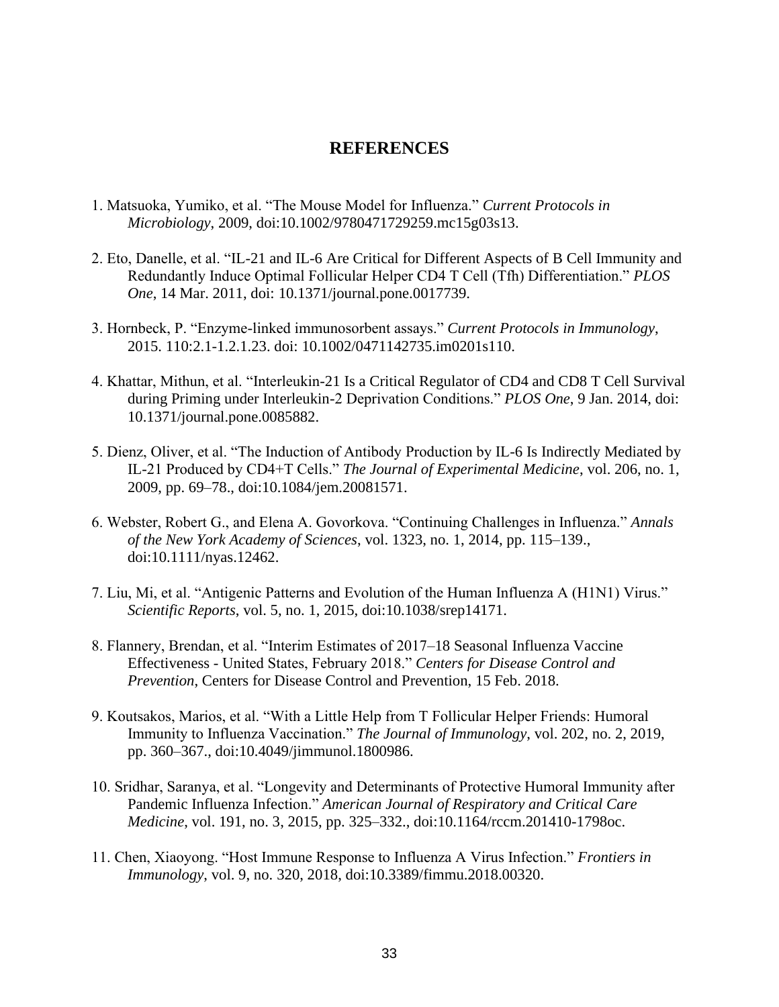### **REFERENCES**

- 1. Matsuoka, Yumiko, et al. "The Mouse Model for Influenza." *Current Protocols in Microbiology*, 2009, doi:10.1002/9780471729259.mc15g03s13.
- 2. Eto, Danelle, et al. "IL-21 and IL-6 Are Critical for Different Aspects of B Cell Immunity and Redundantly Induce Optimal Follicular Helper CD4 T Cell (Tfh) Differentiation." *PLOS One*, 14 Mar. 2011, doi: 10.1371/journal.pone.0017739.
- 3. Hornbeck, P. "Enzyme-linked immunosorbent assays." *Current Protocols in Immunology*, 2015. 110:2.1-1.2.1.23. doi: 10.1002/0471142735.im0201s110.
- 4. Khattar, Mithun, et al. "Interleukin-21 Is a Critical Regulator of CD4 and CD8 T Cell Survival during Priming under Interleukin-2 Deprivation Conditions." *PLOS One*, 9 Jan. 2014, doi: 10.1371/journal.pone.0085882.
- 5. Dienz, Oliver, et al. "The Induction of Antibody Production by IL-6 Is Indirectly Mediated by IL-21 Produced by CD4+T Cells." *The Journal of Experimental Medicine*, vol. 206, no. 1, 2009, pp. 69–78., doi:10.1084/jem.20081571.
- 6. Webster, Robert G., and Elena A. Govorkova. "Continuing Challenges in Influenza." *Annals of the New York Academy of Sciences*, vol. 1323, no. 1, 2014, pp. 115–139., doi:10.1111/nyas.12462.
- 7. Liu, Mi, et al. "Antigenic Patterns and Evolution of the Human Influenza A (H1N1) Virus." *Scientific Reports*, vol. 5, no. 1, 2015, doi:10.1038/srep14171.
- 8. Flannery, Brendan, et al. "Interim Estimates of 2017–18 Seasonal Influenza Vaccine Effectiveness - United States, February 2018." *Centers for Disease Control and Prevention*, Centers for Disease Control and Prevention, 15 Feb. 2018.
- 9. Koutsakos, Marios, et al. "With a Little Help from T Follicular Helper Friends: Humoral Immunity to Influenza Vaccination." *The Journal of Immunology*, vol. 202, no. 2, 2019, pp. 360–367., doi:10.4049/jimmunol.1800986.
- 10. Sridhar, Saranya, et al. "Longevity and Determinants of Protective Humoral Immunity after Pandemic Influenza Infection." *American Journal of Respiratory and Critical Care Medicine*, vol. 191, no. 3, 2015, pp. 325–332., doi:10.1164/rccm.201410-1798oc.
- 11. Chen, Xiaoyong. "Host Immune Response to Influenza A Virus Infection." *Frontiers in Immunology*, vol. 9, no. 320, 2018, doi:10.3389/fimmu.2018.00320.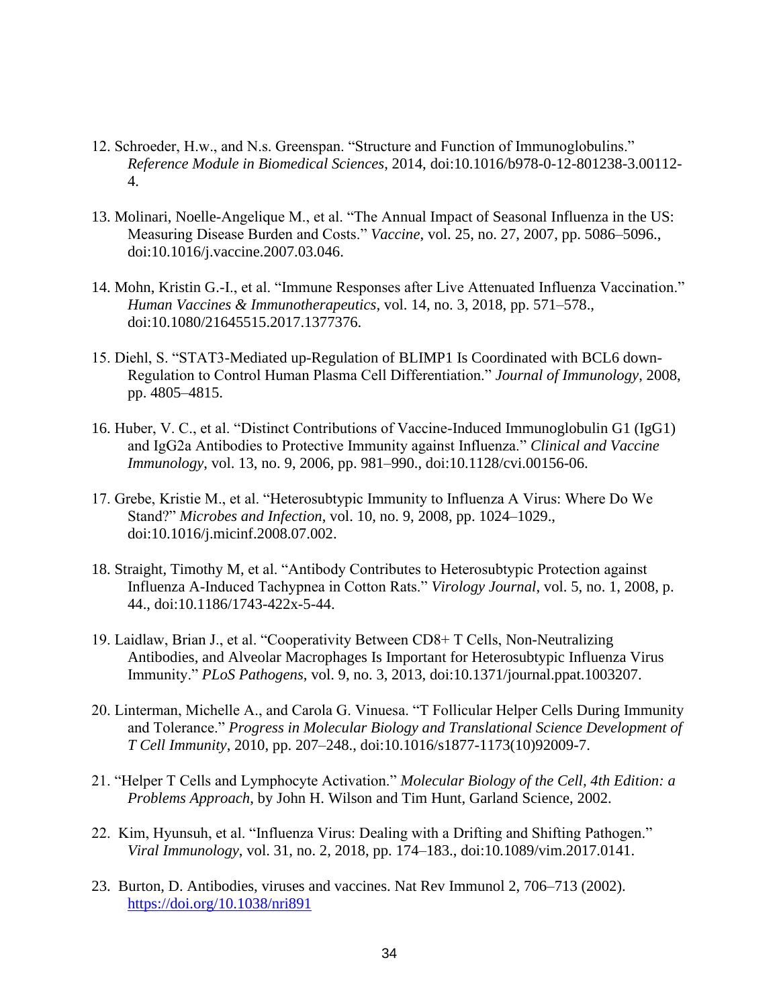- 12. Schroeder, H.w., and N.s. Greenspan. "Structure and Function of Immunoglobulins." *Reference Module in Biomedical Sciences*, 2014, doi:10.1016/b978-0-12-801238-3.00112- 4.
- 13. Molinari, Noelle-Angelique M., et al. "The Annual Impact of Seasonal Influenza in the US: Measuring Disease Burden and Costs." *Vaccine*, vol. 25, no. 27, 2007, pp. 5086–5096., doi:10.1016/j.vaccine.2007.03.046.
- 14. Mohn, Kristin G.-I., et al. "Immune Responses after Live Attenuated Influenza Vaccination." *Human Vaccines & Immunotherapeutics*, vol. 14, no. 3, 2018, pp. 571–578., doi:10.1080/21645515.2017.1377376.
- 15. Diehl, S. "STAT3-Mediated up-Regulation of BLIMP1 Is Coordinated with BCL6 down-Regulation to Control Human Plasma Cell Differentiation." *Journal of Immunology*, 2008, pp. 4805–4815.
- 16. Huber, V. C., et al. "Distinct Contributions of Vaccine-Induced Immunoglobulin G1 (IgG1) and IgG2a Antibodies to Protective Immunity against Influenza." *Clinical and Vaccine Immunology*, vol. 13, no. 9, 2006, pp. 981–990., doi:10.1128/cvi.00156-06.
- 17. Grebe, Kristie M., et al. "Heterosubtypic Immunity to Influenza A Virus: Where Do We Stand?" *Microbes and Infection*, vol. 10, no. 9, 2008, pp. 1024–1029., doi:10.1016/j.micinf.2008.07.002.
- 18. Straight, Timothy M, et al. "Antibody Contributes to Heterosubtypic Protection against Influenza A-Induced Tachypnea in Cotton Rats." *Virology Journal*, vol. 5, no. 1, 2008, p. 44., doi:10.1186/1743-422x-5-44.
- 19. Laidlaw, Brian J., et al. "Cooperativity Between CD8+ T Cells, Non-Neutralizing Antibodies, and Alveolar Macrophages Is Important for Heterosubtypic Influenza Virus Immunity." *PLoS Pathogens*, vol. 9, no. 3, 2013, doi:10.1371/journal.ppat.1003207.
- 20. Linterman, Michelle A., and Carola G. Vinuesa. "T Follicular Helper Cells During Immunity and Tolerance." *Progress in Molecular Biology and Translational Science Development of T Cell Immunity*, 2010, pp. 207–248., doi:10.1016/s1877-1173(10)92009-7.
- 21. "Helper T Cells and Lymphocyte Activation." *Molecular Biology of the Cell, 4th Edition: a Problems Approach*, by John H. Wilson and Tim Hunt, Garland Science, 2002.
- 22. Kim, Hyunsuh, et al. "Influenza Virus: Dealing with a Drifting and Shifting Pathogen." *Viral Immunology*, vol. 31, no. 2, 2018, pp. 174–183., doi:10.1089/vim.2017.0141.
- 23. Burton, D. Antibodies, viruses and vaccines. Nat Rev Immunol 2, 706–713 (2002). <https://doi.org/10.1038/nri891>